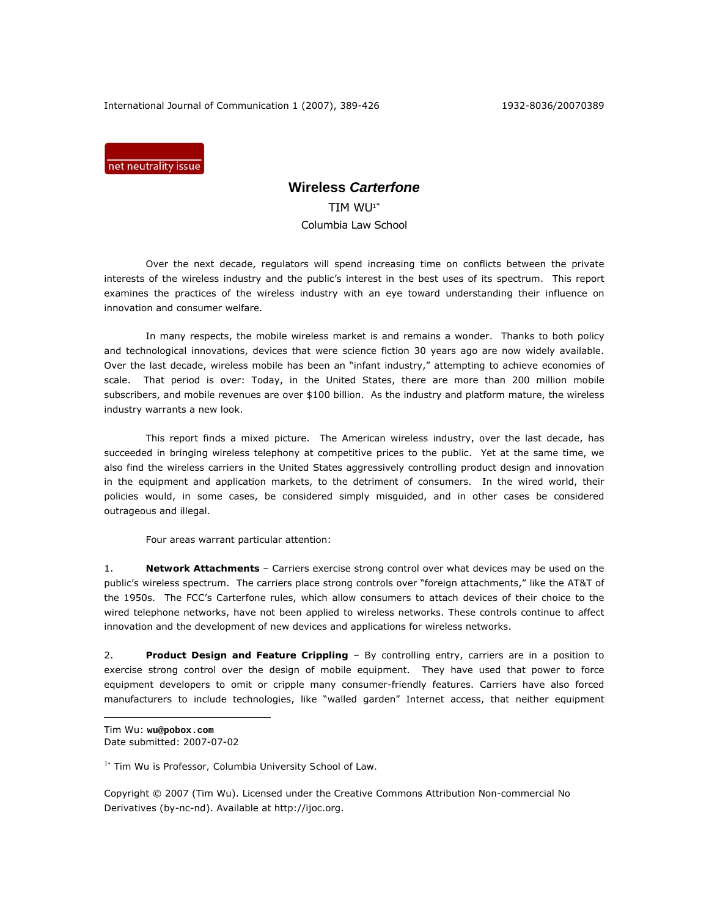International Journal of Communication 1 (2007), 389-426 1932-8036/20070389

net neutrality issue

# **Wireless** *Carterfone*

TIM WU1<sup>∗</sup> Columbia Law School

Over the next decade, regulators will spend increasing time on conflicts between the private interests of the wireless industry and the public's interest in the best uses of its spectrum. This report examines the practices of the wireless industry with an eye toward understanding their influence on innovation and consumer welfare.

In many respects, the mobile wireless market is and remains a wonder. Thanks to both policy and technological innovations, devices that were science fiction 30 years ago are now widely available. Over the last decade, wireless mobile has been an "infant industry," attempting to achieve economies of scale. That period is over: Today, in the United States, there are more than 200 million mobile subscribers, and mobile revenues are over \$100 billion. As the industry and platform mature, the wireless industry warrants a new look.

This report finds a mixed picture. The American wireless industry, over the last decade, has succeeded in bringing wireless telephony at competitive prices to the public. Yet at the same time, we also find the wireless carriers in the United States aggressively controlling product design and innovation in the equipment and application markets, to the detriment of consumers. In the wired world, their policies would, in some cases, be considered simply misguided, and in other cases be considered outrageous and illegal.

Four areas warrant particular attention:

1. *Network Attachments* – Carriers exercise strong control over what devices may be used on the public's wireless spectrum. The carriers place strong controls over "foreign attachments," like the AT&T of the 1950s. The FCC's *Carterfone* rules, which allow consumers to attach devices of their choice to the wired telephone networks, have not been applied to wireless networks. These controls continue to affect innovation and the development of new devices and applications for wireless networks.

2. *Product Design and Feature Crippling* – By controlling entry, carriers are in a position to exercise strong control over the design of mobile equipment. They have used that power to force equipment developers to omit or cripple many consumer-friendly features. Carriers have also forced manufacturers to include technologies, like "walled garden" Internet access, that neither equipment

Tim Wu: **wu@pobox.com**  Date submitted: 2007-07-02

 $\overline{a}$ 

<sup>1</sup><sup>∗</sup> *Tim Wu is Professor, Columbia University School of Law.* 

Copyright © 2007 (Tim Wu). Licensed under the Creative Commons Attribution Non-commercial No Derivatives (by-nc-nd). Available at http://ijoc.org.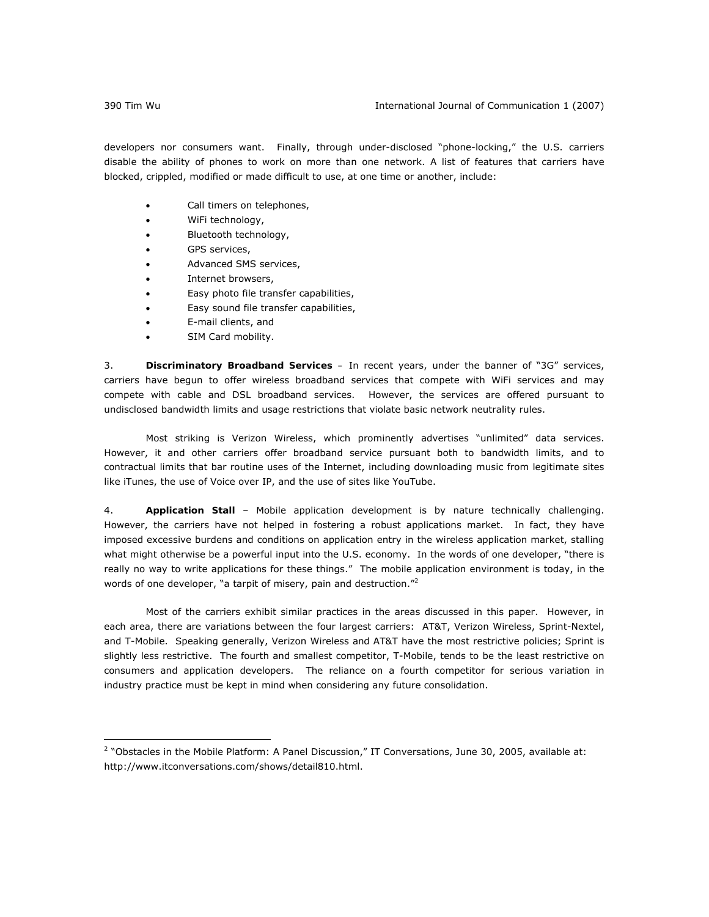developers nor consumers want. Finally, through under-disclosed "phone-locking," the U.S. carriers disable the ability of phones to work on more than one network. A list of features that carriers have blocked, crippled, modified or made difficult to use, at one time or another, include:

- Call timers on telephones,
- WiFi technology,
- Bluetooth technology,
- GPS services,
- Advanced SMS services,
- Internet browsers,
- Easy photo file transfer capabilities,
- Easy sound file transfer capabilities,
- E-mail clients, and
- SIM Card mobility.

3. *Discriminatory Broadband Services –* In recent years, under the banner of "3G" services, carriers have begun to offer wireless broadband services that compete with WiFi services and may compete with cable and DSL broadband services. However, the services are offered pursuant to undisclosed bandwidth limits and usage restrictions that violate basic network neutrality rules.

Most striking is Verizon Wireless, which prominently advertises "unlimited" data services. However, it and other carriers offer broadband service pursuant both to bandwidth limits, and to contractual limits that bar routine uses of the Internet, including downloading music from legitimate sites like iTunes, the use of Voice over IP, and the use of sites like YouTube.

4. *Application Stall* – Mobile application development is by nature technically challenging. However, the carriers have not helped in fostering a robust applications market. In fact, they have imposed excessive burdens and conditions on application entry in the wireless application market, stalling what might otherwise be a powerful input into the U.S. economy. In the words of one developer, "there is really no way to write applications for these things." The mobile application environment is today, in the words of one developer, "a tarpit of misery, pain and destruction."<sup>2</sup>

Most of the carriers exhibit similar practices in the areas discussed in this paper. However, in each area, there are variations between the four largest carriers: AT&T, Verizon Wireless, Sprint-Nextel, and T-Mobile. Speaking generally, Verizon Wireless and AT&T have the most restrictive policies; Sprint is slightly less restrictive. The fourth and smallest competitor, T-Mobile, tends to be the least restrictive on consumers and application developers. The reliance on a fourth competitor for serious variation in industry practice must be kept in mind when considering any future consolidation.

<sup>2</sup> "Obstacles in the Mobile Platform: A Panel Discussion," IT Conversations, June 30, 2005, available at: http://www.itconversations.com/shows/detail810.html.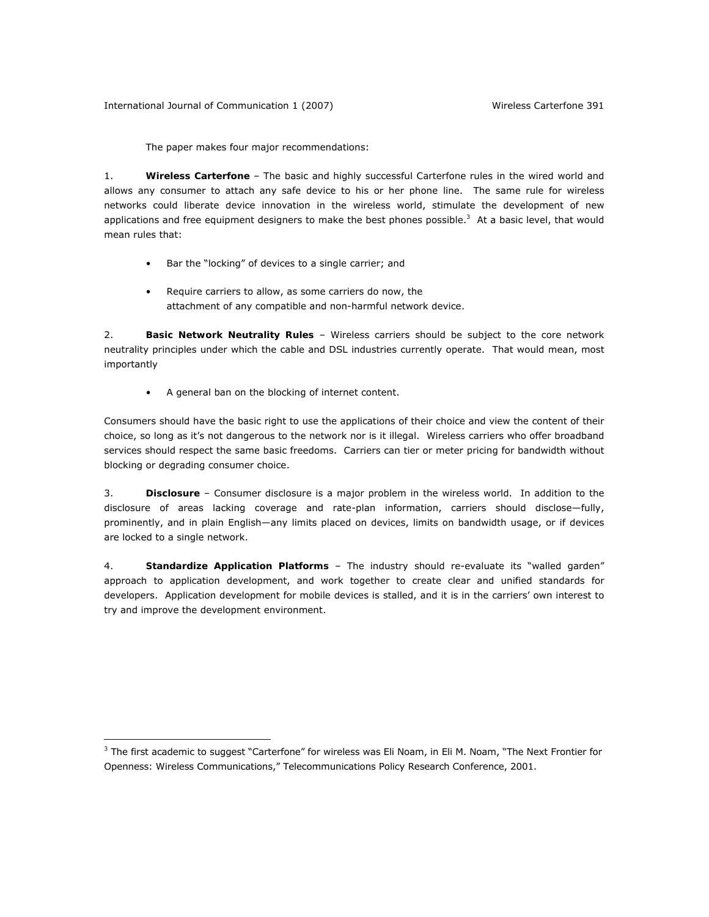International Journal of Communication 1 (2007) Wireless *Carterfone* 391

The paper makes four major recommendations:

1. *Wireless* **Carterfone** – The basic and highly successful *Carterfone* rules in the wired world and allows any consumer to attach any safe device to his or her phone line. The same rule for wireless networks could liberate device innovation in the wireless world, stimulate the development of new applications and free equipment designers to make the best phones possible.<sup>3</sup> At a basic level, that would mean rules that:

- Bar the "locking" of devices to a single carrier; and
- Require carriers to allow, as some carriers do now, the attachment of any compatible and non-harmful network device.

2. *Basic Network Neutrality Rules* – Wireless carriers should be subject to the core network neutrality principles under which the cable and DSL industries currently operate. That would mean, most importantly

• A general ban on the blocking of internet content.

 $\overline{a}$ 

Consumers should have the basic right to use the applications of their choice and view the content of their choice, so long as it's not dangerous to the network nor is it illegal. Wireless carriers who offer broadband services should respect the same basic freedoms. Carriers can tier or meter pricing for bandwidth without blocking or degrading consumer choice.

3. *Disclosure* – Consumer disclosure is a major problem in the wireless world. In addition to the disclosure of areas lacking coverage and rate-plan information, carriers should disclose—fully, prominently, and in plain English—any limits placed on devices, limits on bandwidth usage, or if devices are locked to a single network.

4. *Standardize Application Platforms* – The industry should re-evaluate its "walled garden" approach to application development, and work together to create clear and unified standards for developers. Application development for mobile devices is stalled, and it is in the carriers' own interest to try and improve the development environment.

 $3$  The first academic to suggest "Carterfone" for wireless was Eli Noam, in Eli M. Noam, "The Next Frontier for Openness: Wireless Communications," Telecommunications Policy Research Conference, 2001.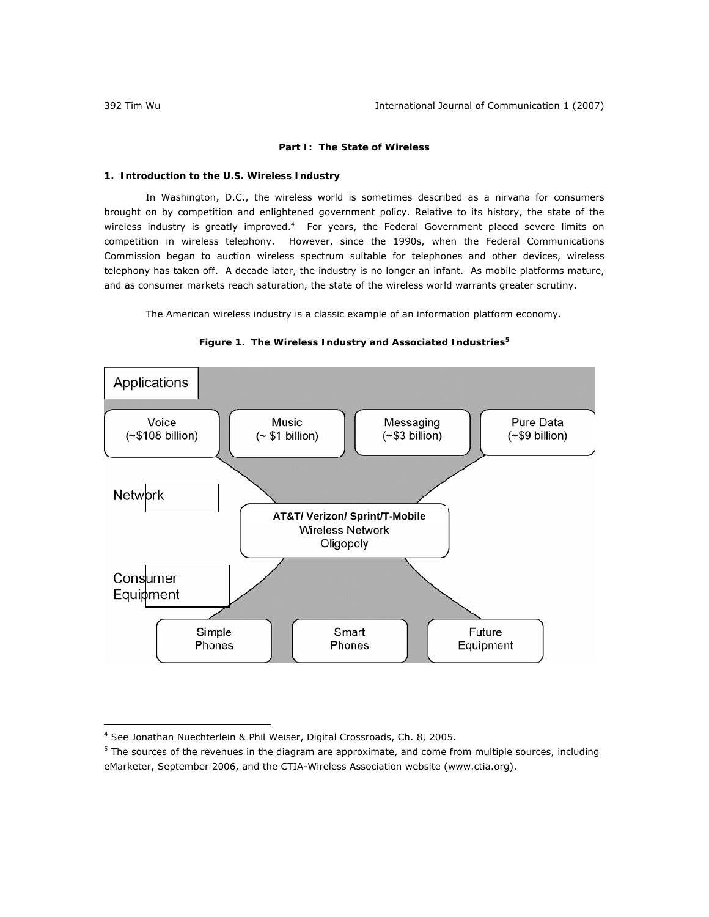# **Part I: The State of Wireless**

# **1. Introduction to the U.S. Wireless Industry**

In Washington, D.C., the wireless world is sometimes described as a nirvana for consumers brought on by competition and enlightened government policy. Relative to its history, the state of the wireless industry is greatly improved.<sup>4</sup> For years, the Federal Government placed severe limits on competition in wireless telephony. However, since the 1990s, when the Federal Communications Commission began to auction wireless spectrum suitable for telephones and other devices, wireless telephony has taken off. A decade later, the industry is no longer an infant. As mobile platforms mature, and as consumer markets reach saturation, the state of the wireless world warrants greater scrutiny.

The American wireless industry is a classic example of an information platform economy.





<sup>4</sup> *See* Jonathan Nuechterlein & Phil Weiser, *Digital Crossroads*, Ch. 8, 2005.

<sup>&</sup>lt;sup>5</sup> The sources of the revenues in the diagram are approximate, and come from multiple sources, including eMarketer, September 2006, and the CTIA-Wireless Association website (www.ctia.org).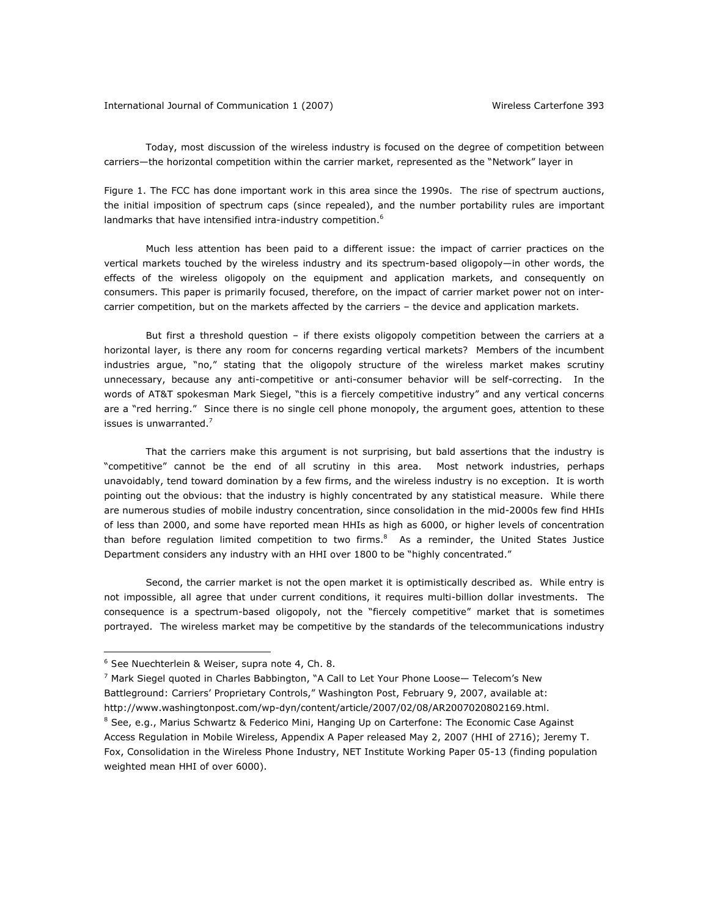Today, most discussion of the wireless industry is focused on the degree of competition *between* carriers—the horizontal competition within the carrier market, represented as the "Network" layer in

Figure 1. The FCC has done important work in this area since the 1990s. The rise of spectrum auctions, the initial imposition of spectrum caps (since repealed), and the number portability rules are important landmarks that have intensified intra-industry competition.<sup>6</sup>

Much less attention has been paid to a different issue: the impact of carrier practices on the vertical markets touched by the wireless industry and its spectrum-based oligopoly—in other words, the effects of the wireless oligopoly on the equipment and application markets, and consequently on consumers. This paper is primarily focused, therefore, on the impact of carrier market power not on intercarrier competition, but on the markets affected by the carriers – the device and application markets.

But first a threshold question – if there exists oligopoly competition between the carriers at a horizontal layer, is there any room for concerns regarding vertical markets? Members of the incumbent industries argue, "no," stating that the oligopoly structure of the wireless market makes scrutiny unnecessary, because any anti-competitive or anti-consumer behavior will be self-correcting. In the words of AT&T spokesman Mark Siegel, "this is a fiercely competitive industry" and any vertical concerns are a "red herring." Since there is no single cell phone monopoly, the argument goes, attention to these issues is unwarranted.<sup>7</sup>

That the carriers make this argument is not surprising, but bald assertions that the industry is "competitive" cannot be the end of all scrutiny in this area. Most network industries, perhaps unavoidably, tend toward domination by a few firms, and the wireless industry is no exception. It is worth pointing out the obvious: that the industry is highly concentrated by any statistical measure. While there are numerous studies of mobile industry concentration, since consolidation in the mid-2000s few find HHIs of less than 2000, and some have reported mean HHIs as high as 6000, or higher levels of concentration than before regulation limited competition to two firms.<sup>8</sup> As a reminder, the United States Justice Department considers any industry with an HHI over 1800 to be "highly concentrated."

Second, the carrier market is not the open market it is optimistically described as. While entry is not impossible, all agree that under current conditions, it requires multi-billion dollar investments. The consequence is a spectrum-based oligopoly, not the "fiercely competitive" market that is sometimes portrayed. The wireless market may be competitive by the standards of the telecommunications industry

- <sup>7</sup> Mark Siegel quoted in Charles Babbington, "A Call to Let Your Phone Loose— Telecom's New Battleground: Carriers' Proprietary Controls," *Washington Post*, February 9, 2007, available at: http://www.washingtonpost.com/wp-dyn/content/article/2007/02/08/AR2007020802169.html.
- <sup>8</sup> See, e.g., Marius Schwartz & Federico Mini, Hanging Up on Carterfone: The Economic Case Against

<sup>6</sup> *See* Nuechterlein & Weiser, *supra* note 4, Ch. 8.

Access Regulation in Mobile Wireless, Appendix A Paper released May 2, 2007 (HHI of 2716); Jeremy T. Fox, Consolidation in the Wireless Phone Industry, NET Institute Working Paper 05-13 (finding population weighted mean HHI of over 6000).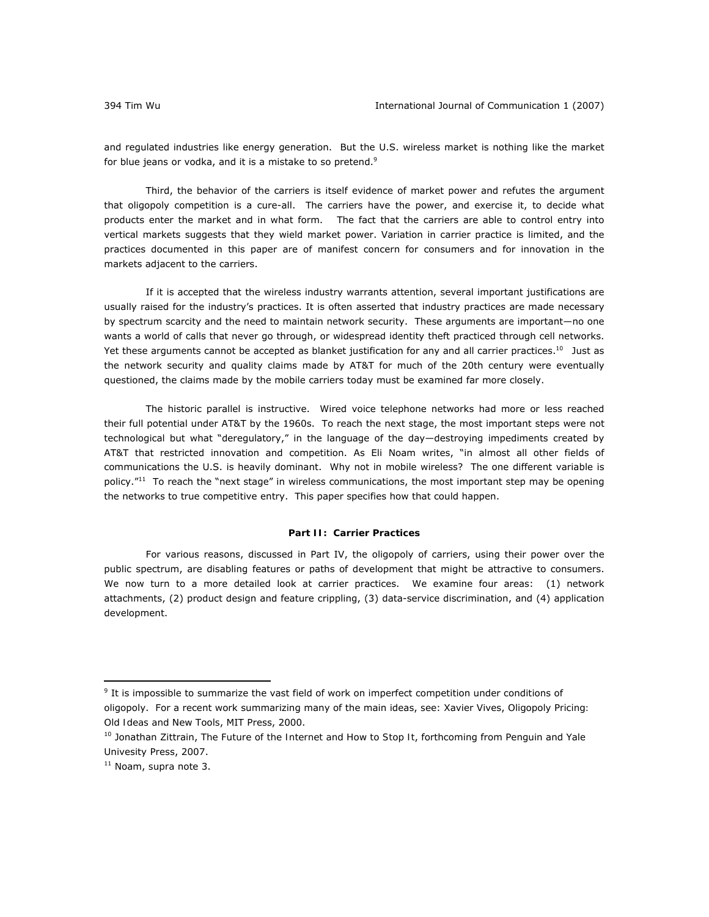and regulated industries like energy generation. But the U.S. wireless market is nothing like the market for blue jeans or vodka, and it is a mistake to so pretend. $9$ 

Third, the behavior of the carriers is itself evidence of market power and refutes the argument that oligopoly competition is a cure-all. The carriers have the power, and exercise it, to decide what products enter the market and in what form. The fact that the carriers are able to control entry into vertical markets suggests that they wield market power. Variation in carrier practice is limited, and the practices documented in this paper are of manifest concern for consumers and for innovation in the markets adjacent to the carriers.

If it is accepted that the wireless industry warrants attention, several important justifications are usually raised for the industry's practices. It is often asserted that industry practices are made necessary by spectrum scarcity and the need to maintain network security. These arguments are important—no one wants a world of calls that never go through, or widespread identity theft practiced through cell networks. Yet these arguments cannot be accepted as blanket justification for any and all carrier practices.<sup>10</sup> Just as the network security and quality claims made by AT&T for much of the 20th century were eventually questioned, the claims made by the mobile carriers today must be examined far more closely.

The historic parallel is instructive. Wired voice telephone networks had more or less reached their full potential under AT&T by the 1960s. To reach the next stage, the most important steps were not technological but what "deregulatory," in the language of the day—destroying impediments created by AT&T that restricted innovation and competition. As Eli Noam writes, "in almost all other fields of communications the U.S. is heavily dominant. Why not in mobile wireless? The one different variable is policy."<sup>11</sup> To reach the "next stage" in wireless communications, the most important step may be opening the networks to true competitive entry. This paper specifies how that could happen.

## **Part II: Carrier Practices**

For various reasons, discussed in Part IV, the oligopoly of carriers, using their power over the public spectrum, are disabling features or paths of development that might be attractive to consumers. We now turn to a more detailed look at carrier practices. We examine four areas: (1) network attachments, (2) product design and feature crippling, (3) data-service discrimination, and (4) application development.

 $9$  It is impossible to summarize the vast field of work on imperfect competition under conditions of oligopoly. For a recent work summarizing many of the main ideas, *see*: Xavier Vives, *Oligopoly Pricing: Old Ideas and New Tools*, MIT Press, 2000.

<sup>&</sup>lt;sup>10</sup> Jonathan Zittrain, *The Future of the Internet and How to Stop It*, forthcoming from Penguin and Yale Univesity Press, 2007.

<sup>11</sup> Noam, *supra* note 3.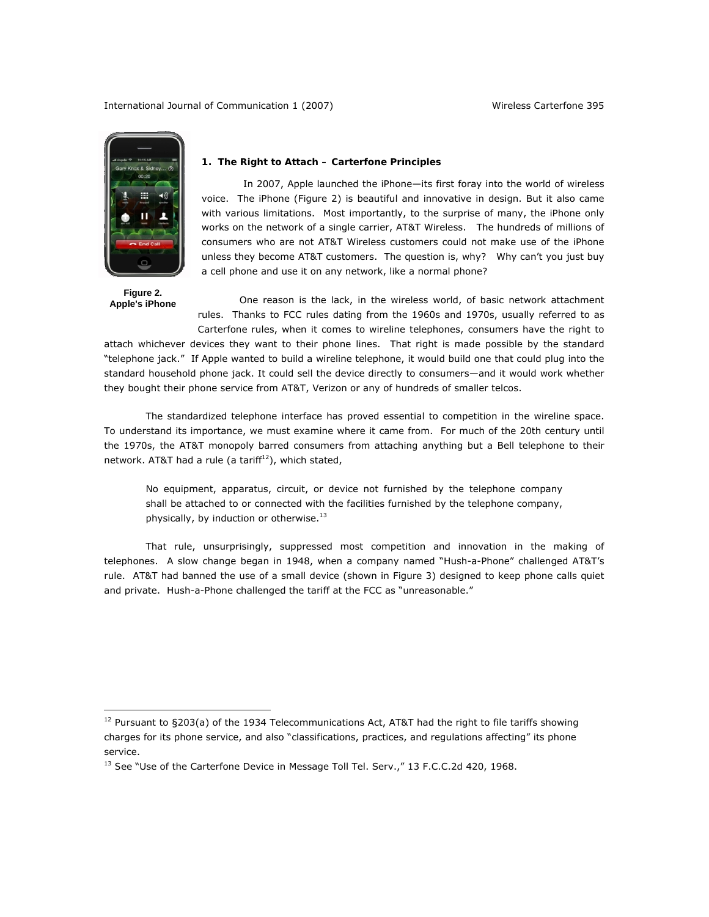International Journal of Communication 1 (2007) Wireless *Carterfone* 395



**Figure 2. Apple's iPhone** 

 $\overline{a}$ 

## **1. The Right to Attach –** *Carterfone* **Principles**

In 2007, Apple launched the iPhone—its first foray into the world of wireless voice. The iPhone (Figure 2) is beautiful and innovative in design. But it also came with various limitations. Most importantly, to the surprise of many, the iPhone only works on the network of a single carrier, AT&T Wireless. The hundreds of millions of consumers who are not AT&T Wireless customers could not make use of the iPhone unless they become AT&T customers. The question is, why? Why can't you just buy a cell phone and use it on any network, like a normal phone?

One reason is the lack, in the wireless world, of basic network attachment rules. Thanks to FCC rules dating from the 1960s and 1970s, usually referred to as *Carterfone* rules, when it comes to wireline telephones, consumers have the right to

attach whichever devices they want to their phone lines. That right is made possible by the standard "telephone jack." If Apple wanted to build a wireline telephone, it would build one that could plug into the standard household phone jack. It could sell the device directly to consumers—and it would work whether they bought their phone service from AT&T, Verizon or any of hundreds of smaller telcos.

The standardized telephone interface has proved essential to competition in the wireline space. To understand its importance, we must examine where it came from. For much of the 20th century until the 1970s, the AT&T monopoly barred consumers from attaching anything but a Bell telephone to their network. AT&T had a rule (a tariff $12$ ), which stated,

No equipment, apparatus, circuit, or device not furnished by the telephone company shall be attached to or connected with the facilities furnished by the telephone company, physically, by induction or otherwise. $^{13}$ 

That rule, unsurprisingly, suppressed most competition and innovation in the making of telephones. A slow change began in 1948, when a company named "Hush-a-Phone" challenged AT&T's rule. AT&T had banned the use of a small device (shown in Figure 3) designed to keep phone calls quiet and private. Hush-a-Phone challenged the tariff at the FCC as "unreasonable."

 $12$  Pursuant to §203(a) of the 1934 Telecommunications Act, AT&T had the right to file tariffs showing charges for its phone service, and also "classifications, practices, and regulations affecting" its phone service.

<sup>&</sup>lt;sup>13</sup> See "Use of the Carterfone Device in Message Toll Tel. Serv.," 13 F.C.C.2d 420, 1968.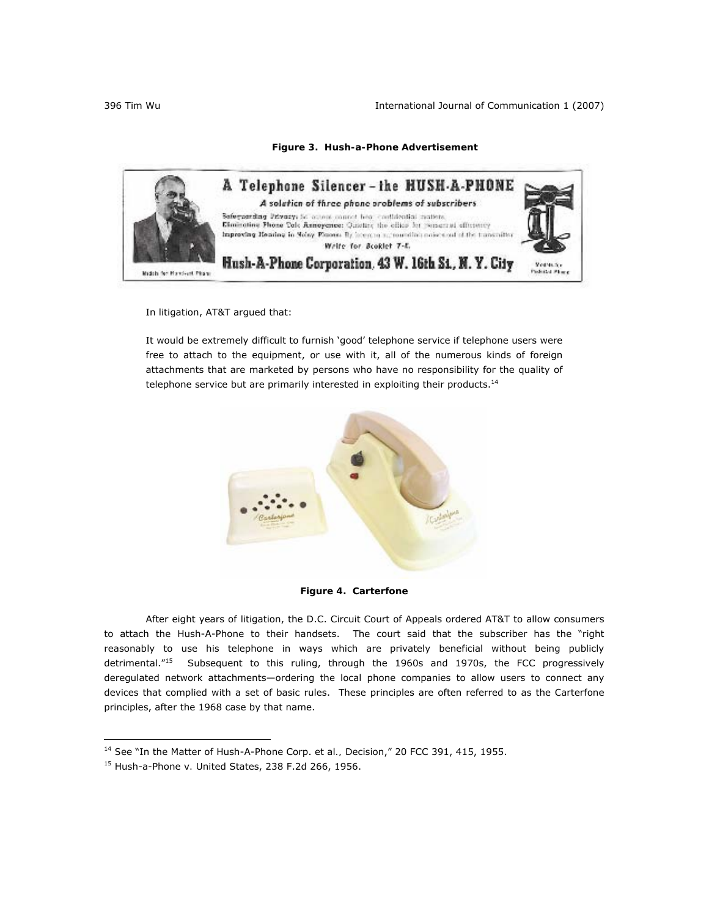# **Figure 3. Hush-a-Phone Advertisement**



In litigation, AT&T argued that:

It would be extremely difficult to furnish 'good' telephone service if telephone users were free to attach to the equipment, or use with it, all of the numerous kinds of foreign attachments that are marketed by persons who have no responsibility for the quality of telephone service but are primarily interested in exploiting their products.<sup>14</sup>





After eight years of litigation, the D.C. Circuit Court of Appeals ordered AT&T to allow consumers to attach the Hush-A-Phone to their handsets. The court said that the subscriber has the "right reasonably to use his telephone in ways which are privately beneficial without being publicly detrimental."<sup>15</sup> Subsequent to this ruling, through the 1960s and 1970s, the FCC progressively deregulated network attachments—ordering the local phone companies to allow users to connect any devices that complied with a set of basic rules. These principles are often referred to as the *Carterfone* principles, after the 1968 case by that name.

<sup>14</sup> *See* "In the Matter of Hush-A-Phone Corp. et al*.,* Decision," 20 FCC 391, 415, 1955.

<sup>15</sup> Hush-a-Phone *v.* United States, 238 F.2d 266, 1956.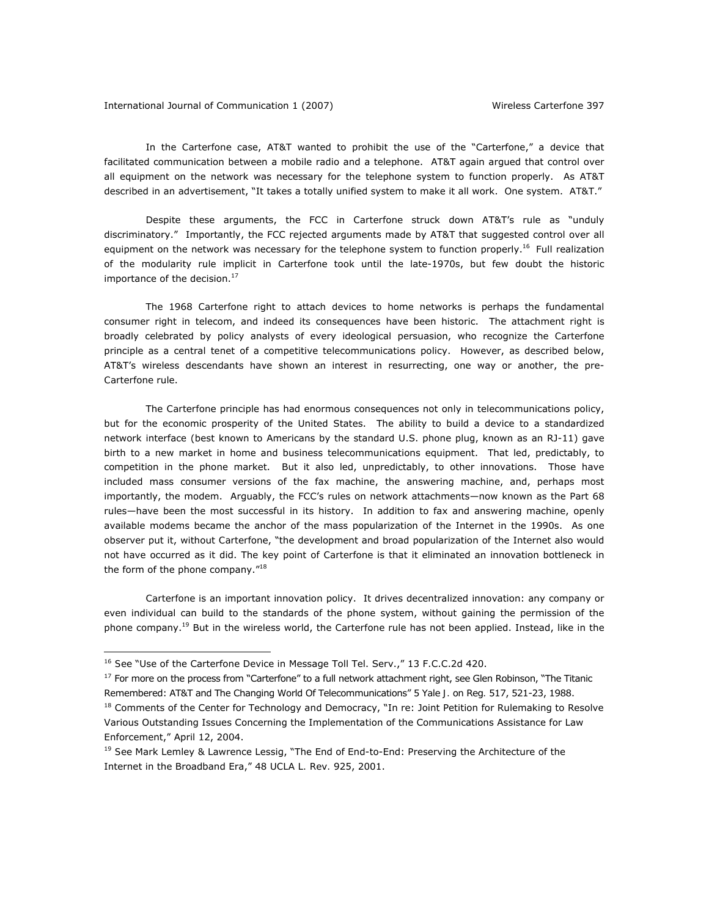## International Journal of Communication 1 (2007) Wireless *Carterfone* 397

In the *Carterfone* case, AT&T wanted to prohibit the use of the "Carterfone," a device that facilitated communication between a mobile radio and a telephone. AT&T again argued that control over all equipment on the network was necessary for the telephone system to function properly. As AT&T described in an advertisement, "It takes a totally unified system to make it all work. One system. AT&T."

Despite these arguments, the FCC in *Carterfone* struck down AT&T's rule as "unduly discriminatory." Importantly, the FCC rejected arguments made by AT&T that suggested control over all equipment on the network was necessary for the telephone system to function properly.<sup>16</sup> Full realization of the modularity rule implicit in *Carterfone* took until the late-1970s, but few doubt the historic importance of the decision. $17$ 

The 1968 *Carterfone* right to attach devices to home networks is perhaps the fundamental consumer right in telecom, and indeed its consequences have been historic. The attachment right is broadly celebrated by policy analysts of every ideological persuasion, who recognize the *Carterfone* principle as a central tenet of a competitive telecommunications policy. However, as described below, AT&T's wireless descendants have shown an interest in resurrecting, one way or another, the pre-*Carterfone* rule.

The *Carterfone* principle has had enormous consequences not only in telecommunications policy, but for the economic prosperity of the United States. The ability to build a device to a standardized network interface (best known to Americans by the standard U.S. phone plug, known as an RJ-11) gave birth to a new market in home and business telecommunications equipment. That led, predictably, to competition in the phone market. But it also led, unpredictably, to other innovations. Those have included mass consumer versions of the fax machine, the answering machine, and, perhaps most importantly, the modem. Arguably, the FCC's rules on network attachments—now known as the Part 68 rules—have been the most successful in its history. In addition to fax and answering machine, openly available modems became the anchor of the mass popularization of the Internet in the 1990s. As one observer put it, without *Carterfone*, "the development and broad popularization of the Internet also would not have occurred as it did. The key point of *Carterfone* is that it eliminated an innovation bottleneck in the form of the phone company."<sup>18</sup>

*Carterfone* is an important innovation policy. It drives decentralized innovation: any company or even individual can build to the standards of the phone system, without gaining the permission of the phone company.19 But in the wireless world, the *Carterfone* rule has not been applied. Instead, like in the

 $\overline{a}$ 

<sup>18</sup> Comments of the Center for Technology and Democracy, "In re: Joint Petition for Rulemaking to Resolve Various Outstanding Issues Concerning the Implementation of the Communications Assistance for Law Enforcement," April 12, 2004.

<sup>16</sup> *See* "Use of the Carterfone Device in Message Toll Tel. Serv.," 13 F.C.C.2d 420.

<sup>17</sup> For more on the process from "Carterfone" to a full network attachment right, *see* Glen Robinson, "The Titanic Remembered: AT&T and The Changing World Of Telecommunications" 5 *Yale J. on Reg.* 517, 521-23, 1988.

<sup>19</sup> *See* Mark Lemley & Lawrence Lessig, "The End of End-to-End: Preserving the Architecture of the Internet in the Broadband Era," 48 *UCLA L. Rev.* 925, 2001.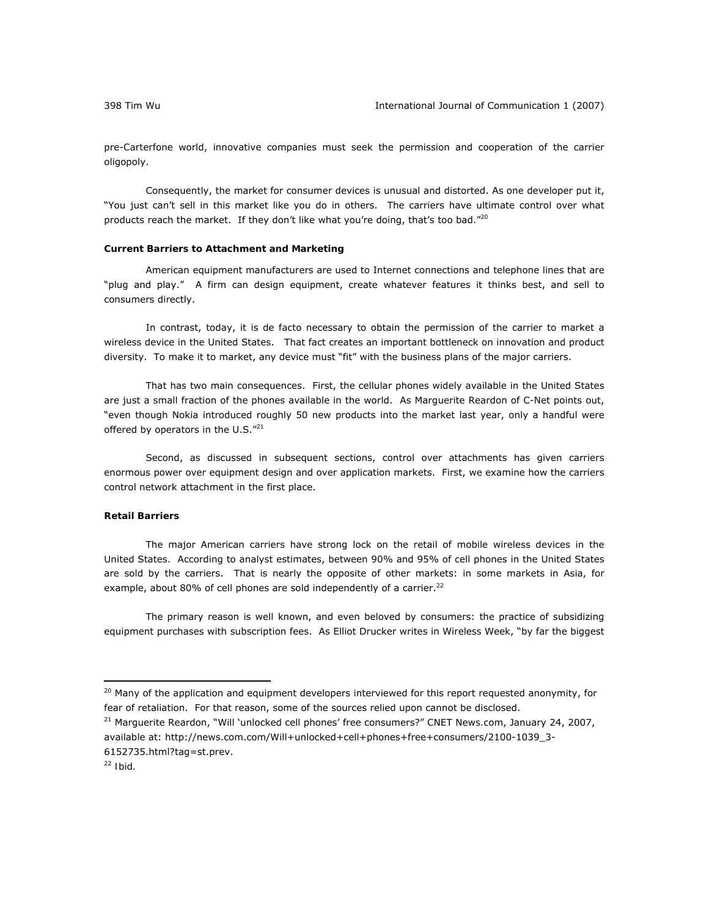pre-*Carterfone* world, innovative companies must seek the permission and cooperation of the carrier oligopoly.

Consequently, the market for consumer devices is unusual and distorted. As one developer put it, "You just can't sell in this market like you do in others. The carriers have ultimate control over what products reach the market. If they don't like what you're doing, that's too bad." $2^{\circ}$ 

## **Current Barriers to Attachment and Marketing**

American equipment manufacturers are used to Internet connections and telephone lines that are "plug and play." A firm can design equipment, create whatever features it thinks best, and sell to consumers directly.

In contrast, today, it is *de facto* necessary to obtain the permission of the carrier to market a wireless device in the United States. That fact creates an important bottleneck on innovation and product diversity. To make it to market, any device must "fit" with the business plans of the major carriers.

That has two main consequences. First, the cellular phones widely available in the United States are just a small fraction of the phones available in the world. As Marguerite Reardon of C-Net points out, "even though Nokia introduced roughly 50 new products into the market last year, only a handful were offered by operators in the U.S."<sup>21</sup>

Second, as discussed in subsequent sections, control over attachments has given carriers enormous power over equipment design and over application markets. First, we examine how the carriers control network attachment in the first place.

## **Retail Barriers**

The major American carriers have strong lock on the retail of mobile wireless devices in the United States. According to analyst estimates, between 90% and 95% of cell phones in the United States are sold by the carriers. That is nearly the opposite of other markets: in some markets in Asia, for example, about 80% of cell phones are sold independently of a carrier. $^{22}$ 

The primary reason is well known, and even beloved by consumers: the practice of subsidizing equipment purchases with subscription fees. As Elliot Drucker writes in *Wireless Week*, "by far the biggest

21 Marguerite Reardon, "Will 'unlocked cell phones' free consumers?" *CNET News.com*, January 24, 2007, available at: http://news.com.com/Will+unlocked+cell+phones+free+consumers/2100-1039\_3- 6152735.html?tag=st.prev.

<sup>&</sup>lt;sup>20</sup> Many of the application and equipment developers interviewed for this report requested anonymity, for fear of retaliation. For that reason, some of the sources relied upon cannot be disclosed.

<sup>22</sup> *Ibid.*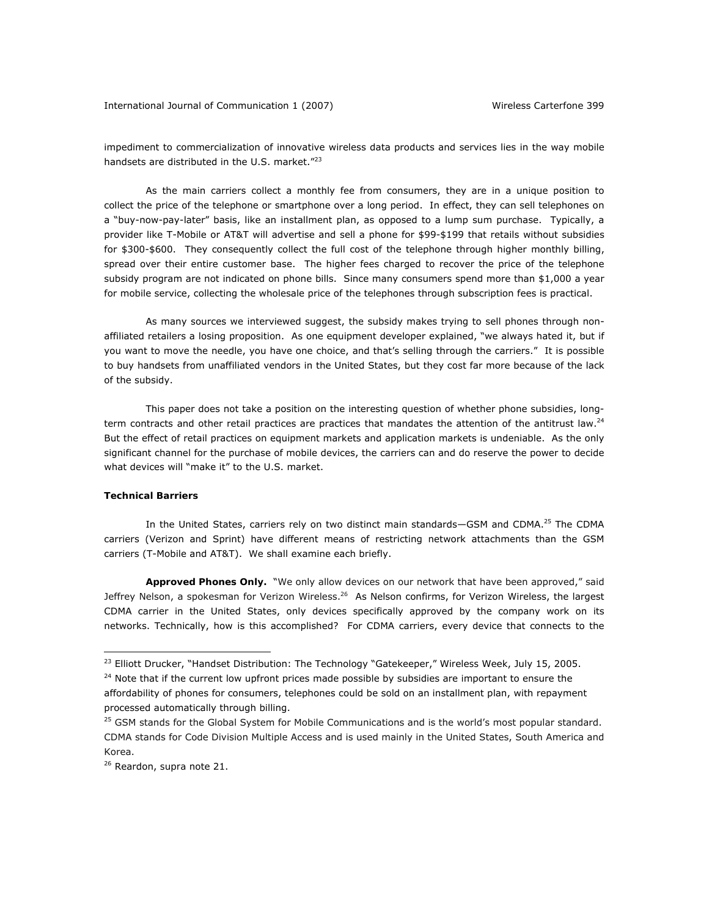impediment to commercialization of innovative wireless data products and services lies in the way mobile handsets are distributed in the U.S. market."<sup>23</sup>

As the main carriers collect a monthly fee from consumers, they are in a unique position to collect the price of the telephone or smartphone over a long period. In effect, they can sell telephones on a "buy-now-pay-later" basis, like an installment plan, as opposed to a lump sum purchase. Typically, a provider like T-Mobile or AT&T will advertise and sell a phone for \$99-\$199 that retails without subsidies for \$300-\$600. They consequently collect the full cost of the telephone through higher monthly billing, spread over their entire customer base. The higher fees charged to recover the price of the telephone subsidy program are not indicated on phone bills. Since many consumers spend more than \$1,000 a year for mobile service, collecting the wholesale price of the telephones through subscription fees is practical.

As many sources we interviewed suggest, the subsidy makes trying to sell phones through nonaffiliated retailers a losing proposition. As one equipment developer explained, "we always hated it, but if you want to move the needle, you have one choice, and that's selling through the carriers." It is possible to buy handsets from unaffiliated vendors in the United States, but they cost far more because of the lack of the subsidy.

This paper does not take a position on the interesting question of whether phone subsidies, longterm contracts and other retail practices are practices that mandates the attention of the antitrust law.<sup>24</sup> But the effect of retail practices on equipment markets and application markets is undeniable. As the only significant channel for the purchase of mobile devices, the carriers can and do reserve the power to decide what devices will "make it" to the U.S. market.

# **Technical Barriers**

 $\overline{a}$ 

In the United States, carriers rely on two distinct main standards-GSM and CDMA.<sup>25</sup> The CDMA carriers (Verizon and Sprint) have different means of restricting network attachments than the GSM carriers (T-Mobile and AT&T). We shall examine each briefly.

*Approved Phones Only.* "We only allow devices on our network that have been approved," said Jeffrey Nelson, a spokesman for Verizon Wireless.<sup>26</sup> As Nelson confirms, for Verizon Wireless, the largest CDMA carrier in the United States, only devices specifically approved by the company work on its networks. Technically, how is this accomplished? For CDMA carriers, every device that connects to the

<sup>23</sup> Elliott Drucker, "Handset Distribution: The Technology "Gatekeeper," *Wireless Week*, July 15, 2005.

<sup>&</sup>lt;sup>24</sup> Note that if the current low upfront prices made possible by subsidies are important to ensure the affordability of phones for consumers, telephones could be sold on an installment plan, with repayment processed automatically through billing.

<sup>&</sup>lt;sup>25</sup> GSM stands for the Global System for Mobile Communications and is the world's most popular standard. CDMA stands for Code Division Multiple Access and is used mainly in the United States, South America and Korea.

<sup>26</sup> Reardon, *supra* note 21.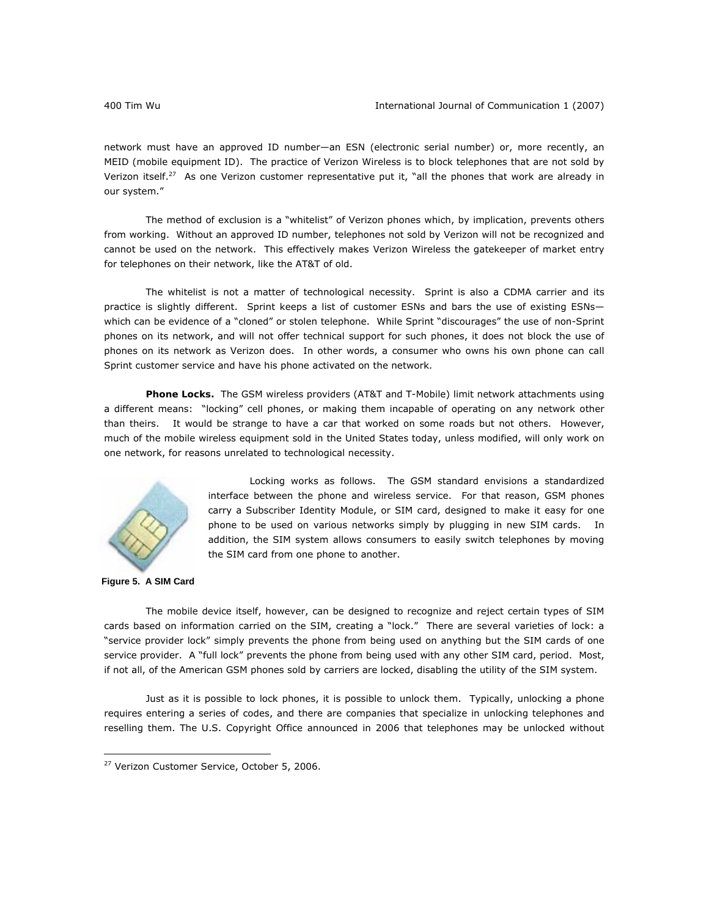network must have an approved ID number—an ESN (electronic serial number) or, more recently, an MEID (mobile equipment ID). The practice of Verizon Wireless is to block telephones that are not sold by Verizon itself.<sup>27</sup> As one Verizon customer representative put it, "all the phones that work are already in our system."

The method of exclusion is a "whitelist" of Verizon phones which, by implication, prevents others from working. Without an approved ID number, telephones not sold by Verizon will not be recognized and cannot be used on the network. This effectively makes Verizon Wireless the gatekeeper of market entry for telephones on their network, like the AT&T of old.

The whitelist is not a matter of technological necessity. Sprint is also a CDMA carrier and its practice is slightly different. Sprint keeps a list of customer ESNs and bars the use of existing ESNs which can be evidence of a "cloned" or stolen telephone. While Sprint "discourages" the use of non-Sprint phones on its network, and will not offer technical support for such phones, it does not block the use of phones on its network as Verizon does. In other words, a consumer who owns his own phone can call Sprint customer service and have his phone activated on the network.

*Phone Locks.* The GSM wireless providers (AT&T and T-Mobile) limit network attachments using a different means: "locking" cell phones, or making them incapable of operating on any network other than theirs. It would be strange to have a car that worked on some roads but not others. However, much of the mobile wireless equipment sold in the United States today, unless modified, will only work on one network, for reasons unrelated to technological necessity.



Locking works as follows. The GSM standard envisions a standardized interface between the phone and wireless service. For that reason, GSM phones carry a Subscriber Identity Module, or SIM card, designed to make it easy for one phone to be used on various networks simply by plugging in new SIM cards. In addition, the SIM system allows consumers to easily switch telephones by moving the SIM card from one phone to another.

**Figure 5. A SIM Card**

 $\overline{a}$ 

The mobile device itself, however, can be designed to recognize and reject certain types of SIM cards based on information carried on the SIM, creating a "lock." There are several varieties of lock: a "service provider lock" simply prevents the phone from being used on anything but the SIM cards of one service provider. A "full lock" prevents the phone from being used with any other SIM card, period. Most, if not all, of the American GSM phones sold by carriers are locked, disabling the utility of the SIM system.

Just as it is possible to lock phones, it is possible to unlock them. Typically, unlocking a phone requires entering a series of codes, and there are companies that specialize in unlocking telephones and reselling them. The U.S. Copyright Office announced in 2006 that telephones may be unlocked without

<sup>&</sup>lt;sup>27</sup> Verizon Customer Service, October 5, 2006.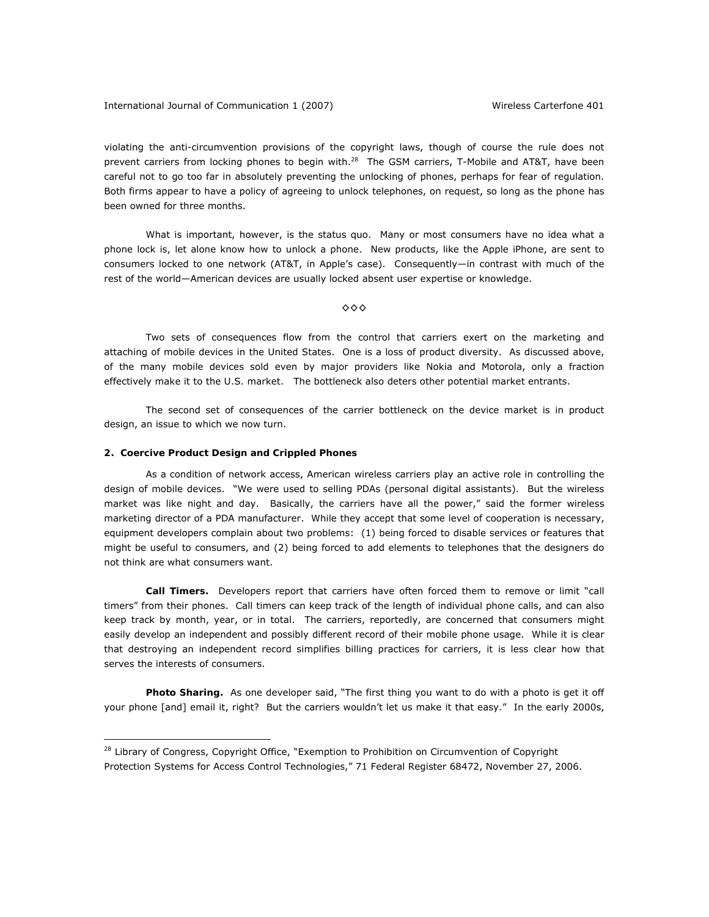violating the anti-circumvention provisions of the copyright laws, though of course the rule does not prevent carriers from locking phones to begin with.<sup>28</sup> The GSM carriers, T-Mobile and AT&T, have been careful not to go too far in absolutely preventing the unlocking of phones, perhaps for fear of regulation. Both firms appear to have a policy of agreeing to unlock telephones, on request, so long as the phone has been owned for three months.

What is important, however, is the status quo. Many or most consumers have no idea what a phone lock is, let alone know how to unlock a phone. New products, like the Apple iPhone, are sent to consumers locked to one network (AT&T, in Apple's case). Consequently—in contrast with much of the rest of the world—American devices are usually locked absent user expertise or knowledge.

◊◊◊

Two sets of consequences flow from the control that carriers exert on the marketing and attaching of mobile devices in the United States. One is a loss of product diversity. As discussed above, of the many mobile devices sold even by major providers like Nokia and Motorola, only a fraction effectively make it to the U.S. market. The bottleneck also deters other potential market entrants.

The second set of consequences of the carrier bottleneck on the device market is in product design, an issue to which we now turn.

## **2. Coercive Product Design and Crippled Phones**

 $\overline{a}$ 

As a condition of network access, American wireless carriers play an active role in controlling the design of mobile devices. "We were used to selling PDAs (personal digital assistants). But the wireless market was like night and day. Basically, the carriers have all the power," said the former wireless marketing director of a PDA manufacturer. While they accept that some level of cooperation is necessary, equipment developers complain about two problems: (1) being forced to disable services or features that might be useful to consumers, and (2) being forced to add elements to telephones that the designers do not think are what consumers want.

*Call Timers.* Developers report that carriers have often forced them to remove or limit "call timers" from their phones. Call timers can keep track of the length of individual phone calls, and can also keep track by month, year, or in total. The carriers, reportedly, are concerned that consumers might easily develop an independent and possibly different record of their mobile phone usage. While it is clear that destroying an independent record simplifies billing practices for carriers, it is less clear how that serves the interests of consumers.

*Photo Sharing.* As one developer said, "The first thing you want to do with a photo is get it off your phone [and] email it, right? But the carriers wouldn't let us make it that easy." In the early 2000s,

<sup>&</sup>lt;sup>28</sup> Library of Congress, Copyright Office, "Exemption to Prohibition on Circumvention of Copyright Protection Systems for Access Control Technologies," 71 Federal Register 68472, November 27, 2006.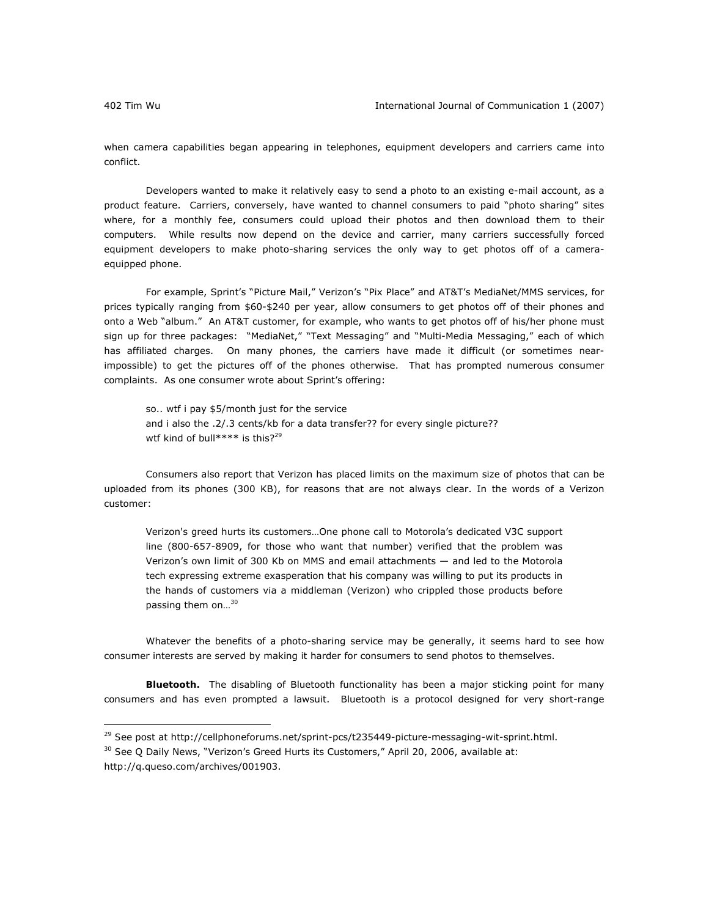when camera capabilities began appearing in telephones, equipment developers and carriers came into conflict.

Developers wanted to make it relatively easy to send a photo to an existing e-mail account, as a product feature. Carriers, conversely, have wanted to channel consumers to paid "photo sharing" sites where, for a monthly fee, consumers could upload their photos and then download them to their computers. While results now depend on the device and carrier, many carriers successfully forced equipment developers to make photo-sharing services the only way to get photos off of a cameraequipped phone.

For example, Sprint's "Picture Mail," Verizon's "Pix Place" and AT&T's MediaNet/MMS services, for prices typically ranging from \$60-\$240 per year, allow consumers to get photos off of their phones and onto a Web "album." An AT&T customer, for example, who wants to get photos off of his/her phone must sign up for three packages: "MediaNet," "Text Messaging" and "Multi-Media Messaging," each of which has affiliated charges. On many phones, the carriers have made it difficult (or sometimes nearimpossible) to get the pictures off of the phones otherwise. That has prompted numerous consumer complaints. As one consumer wrote about Sprint's offering:

so.. wtf i pay \$5/month just for the service and i also the .2/.3 cents/kb for a data transfer?? for every single picture?? wtf kind of bull\*\*\*\* is this?<sup>29</sup>

Consumers also report that Verizon has placed limits on the maximum size of photos that can be uploaded from its phones (300 KB), for reasons that are not always clear. In the words of a Verizon customer:

Verizon's greed hurts its customers…One phone call to Motorola's dedicated V3C support line (800-657-8909, for those who want that number) verified that the problem was Verizon's own limit of 300 Kb on MMS and email attachments — and led to the Motorola tech expressing extreme exasperation that his company was willing to put its products in the hands of customers via a middleman (Verizon) who crippled those products before passing them on...<sup>30</sup>

Whatever the benefits of a photo-sharing service may be generally, it seems hard to see how consumer interests are served by making it harder for consumers to send photos to themselves.

**Bluetooth.** The disabling of Bluetooth functionality has been a major sticking point for many consumers and has even prompted a lawsuit. Bluetooth is a protocol designed for very short-range

<sup>29</sup> *See* post at http://cellphoneforums.net/sprint-pcs/t235449-picture-messaging-wit-sprint.html.

<sup>30</sup> *See* Q Daily News, "Verizon's Greed Hurts its Customers," April 20, 2006, available at: http://q.queso.com/archives/001903.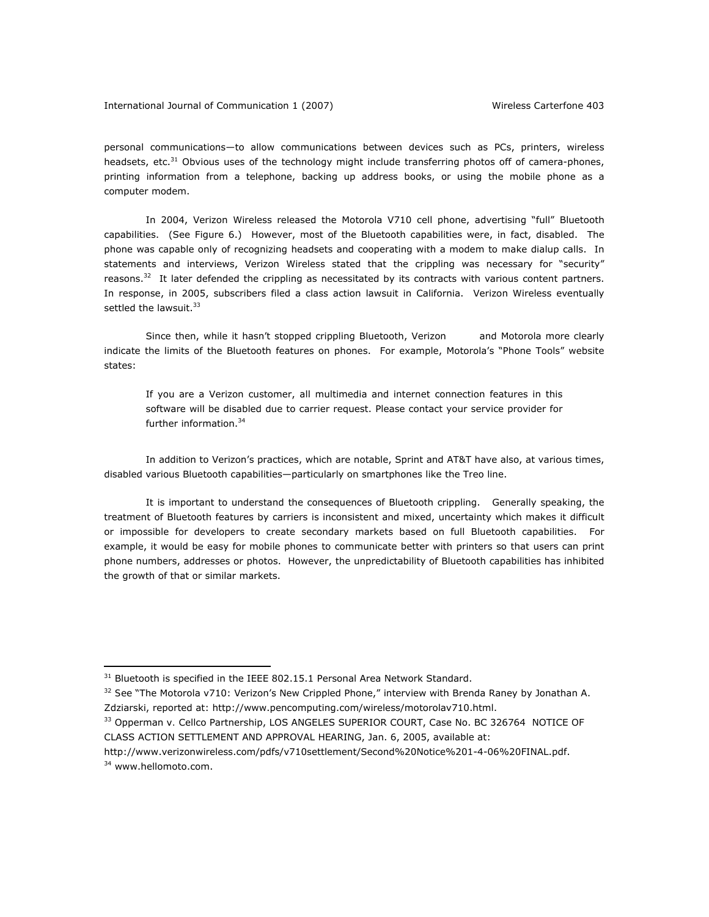personal communications—to allow communications between devices such as PCs, printers, wireless headsets, etc.<sup>31</sup> Obvious uses of the technology might include transferring photos off of camera-phones, printing information from a telephone, backing up address books, or using the mobile phone as a computer modem.

In 2004, Verizon Wireless released the Motorola V710 cell phone, advertising "full" Bluetooth capabilities. (See Figure 6.) However, most of the Bluetooth capabilities were, in fact, disabled. The phone was capable only of recognizing headsets and cooperating with a modem to make dialup calls. In statements and interviews, Verizon Wireless stated that the crippling was necessary for "security" reasons.<sup>32</sup> It later defended the crippling as necessitated by its contracts with various content partners. In response, in 2005, subscribers filed a class action lawsuit in California. Verizon Wireless eventually settled the lawsuit.<sup>33</sup>

Since then, while it hasn't stopped crippling Bluetooth, Verizon and Motorola more clearly indicate the limits of the Bluetooth features on phones. For example, Motorola's "Phone Tools" website states:

If you are a Verizon customer, all multimedia and internet connection features in this software will be disabled due to carrier request. Please contact your service provider for further information.34

In addition to Verizon's practices, which are notable, Sprint and AT&T have also, at various times, disabled various Bluetooth capabilities—particularly on smartphones like the *Treo* line.

It is important to understand the consequences of Bluetooth crippling. Generally speaking, the treatment of Bluetooth features by carriers is inconsistent and mixed, uncertainty which makes it difficult or impossible for developers to create secondary markets based on full Bluetooth capabilities. For example, it would be easy for mobile phones to communicate better with printers so that users can print phone numbers, addresses or photos. However, the unpredictability of Bluetooth capabilities has inhibited the growth of that or similar markets.

 $31$  Bluetooth is specified in the IEEE 802.15.1 Personal Area Network Standard.

<sup>32</sup> *See* "The Motorola v710: Verizon's New Crippled Phone," interview with Brenda Raney by Jonathan A. Zdziarski, reported at: http://www.pencomputing.com/wireless/motorolav710.html.

<sup>33</sup> Opperman *v.* Cellco Partnership, LOS ANGELES SUPERIOR COURT, Case No. BC 326764 NOTICE OF CLASS ACTION SETTLEMENT AND APPROVAL HEARING, Jan. 6, 2005, available at:

http://www.verizonwireless.com/pdfs/v710settlement/Second%20Notice%201-4-06%20FINAL.pdf. <sup>34</sup> www.hellomoto.com.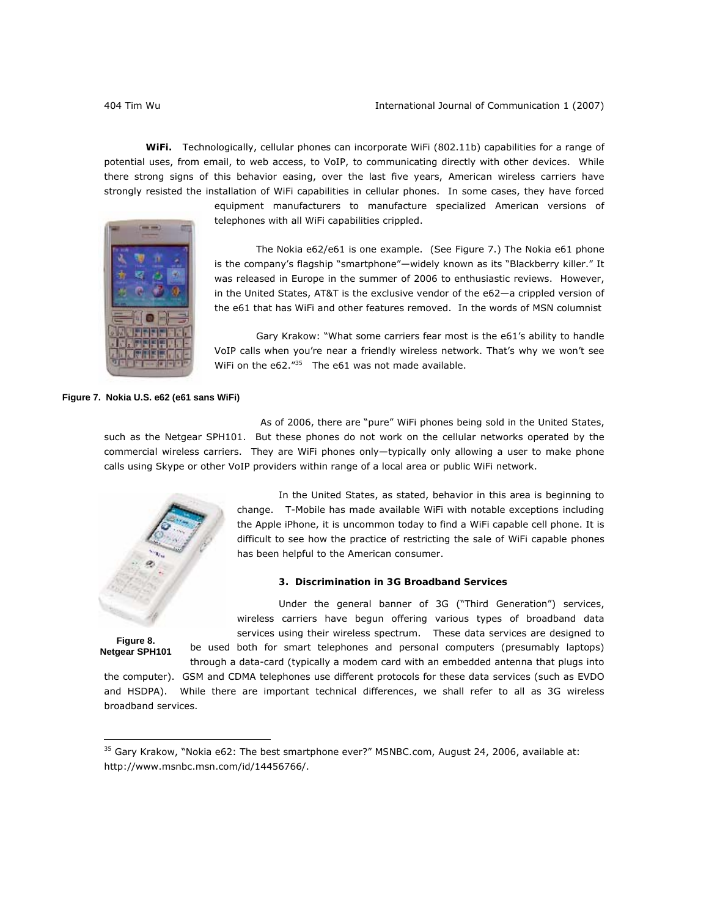*WiFi.* Technologically, cellular phones can incorporate WiFi (802.11b) capabilities for a range of potential uses, from email, to web access, to VoIP, to communicating directly with other devices. While there strong signs of this behavior easing, over the last five years, American wireless carriers have strongly resisted the installation of WiFi capabilities in cellular phones. In some cases, they have forced

equipment manufacturers to manufacture specialized American versions of telephones with all WiFi capabilities crippled.

The Nokia e62/e61 is one example. (See Figure 7.) The Nokia e61 phone is the company's flagship "smartphone"—widely known as its "Blackberry killer." It was released in Europe in the summer of 2006 to enthusiastic reviews. However, in the United States, AT&T is the exclusive vendor of the e62—a crippled version of the e61 that has WiFi and other features removed. In the words of MSN columnist

Gary Krakow: "What some carriers fear most is the e61's ability to handle VoIP calls when you're near a friendly wireless network. That's why we won't see WiFi on the e62."<sup>35</sup> The e61 was not made available.

**Figure 7. Nokia U.S. e62 (e61 sans WiFi)** 

As of 2006, there are "pure" WiFi phones being sold in the United States, such as the Netgear SPH101. But these phones do not work on the cellular networks operated by the commercial wireless carriers. They are WiFi phones only—typically only allowing a user to make phone calls using Skype or other VoIP providers within range of a local area or public WiFi network.



In the United States, as stated, behavior in this area is beginning to change. T-Mobile has made available WiFi with notable exceptions including the Apple iPhone, it is uncommon today to find a WiFi capable cell phone. It is difficult to see how the practice of restricting the sale of WiFi capable phones has been helpful to the American consumer.

# **3. Discrimination in 3G Broadband Services**

Under the general banner of 3G ("Third Generation") services, wireless carriers have begun offering various types of broadband data services using their wireless spectrum. These data services are designed to be used both for smart telephones and personal computers (presumably laptops)

**Figure 8. Netgear SPH101** 

 $\overline{a}$ 

through a data-card (typically a modem card with an embedded antenna that plugs into the computer). GSM and CDMA telephones use different protocols for these data services (such as EVDO and HSDPA). While there are important technical differences, we shall refer to all as 3G wireless broadband services.

<sup>35</sup> Gary Krakow, "Nokia e62: The best smartphone ever?" *MSNBC.com*, August 24, 2006, available at: http://www.msnbc.msn.com/id/14456766/.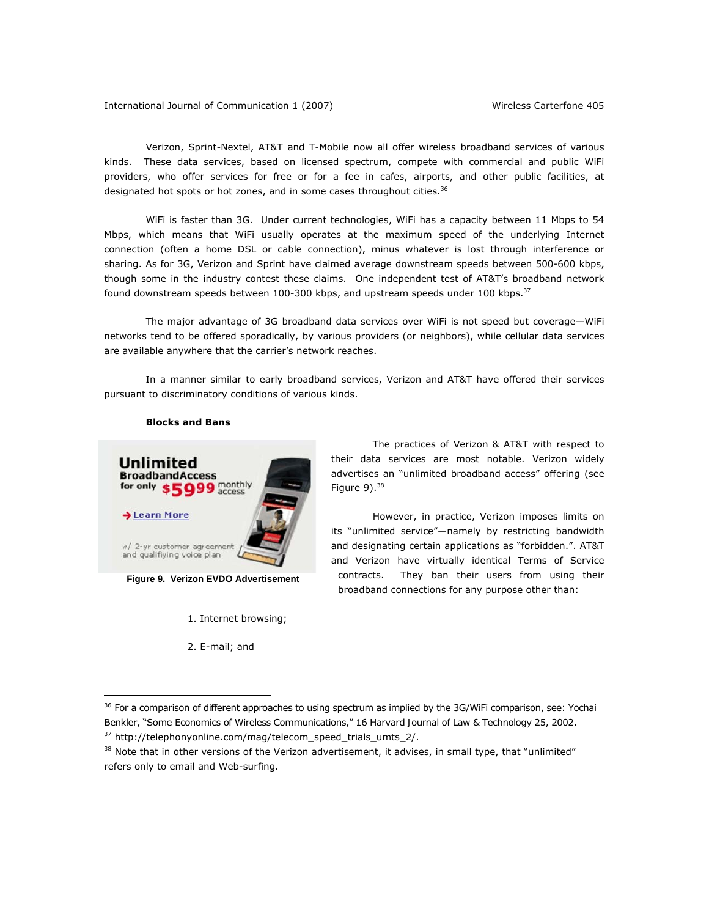International Journal of Communication 1 (2007) Wireless *Carterfone* 405

Verizon, Sprint-Nextel, AT&T and T-Mobile now all offer wireless broadband services of various kinds. These data services, based on licensed spectrum, compete with commercial and public WiFi providers, who offer services for free or for a fee in cafes, airports, and other public facilities, at designated hot spots or hot zones, and in some cases throughout cities.<sup>36</sup>

WiFi is faster than 3G. Under current technologies, WiFi has a capacity between 11 Mbps to 54 Mbps, which means that WiFi usually operates at the maximum speed of the underlying Internet connection (often a home DSL or cable connection), minus whatever is lost through interference or sharing. As for 3G, Verizon and Sprint have claimed average downstream speeds between 500-600 kbps, though some in the industry contest these claims. One independent test of AT&T's broadband network found downstream speeds between 100-300 kbps, and upstream speeds under 100 kbps. $37$ 

The major advantage of 3G broadband data services over WiFi is not speed but coverage—WiFi networks tend to be offered sporadically, by various providers (or neighbors), while cellular data services are available anywhere that the carrier's network reaches.

In a manner similar to early broadband services, Verizon and AT&T have offered their services pursuant to discriminatory conditions of various kinds.

## *Blocks and Bans*



**Figure 9. Verizon EVDO Advertisement** 

1. Internet browsing;

2. E-mail; and

 $\overline{a}$ 

The practices of Verizon & AT&T with respect to their data services are most notable. Verizon widely advertises an "unlimited broadband access" offering (see Figure  $9$ ).  $38$ 

However, in practice, Verizon imposes limits on its "unlimited service"—namely by restricting bandwidth and designating certain applications as "forbidden.". AT&T and Verizon have virtually identical Terms of Service contracts. They ban their users from using their broadband connections for any purpose other than:

<sup>36</sup> For a comparison of different approaches to using spectrum as implied by the 3G/WiFi comparison, *see*: Yochai Benkler, "Some Economics of Wireless Communications," 16 *Harvard Journal of Law & Technology* 25, 2002. 37 http://telephonyonline.com/mag/telecom\_speed\_trials\_umts\_2/.

 $38$  Note that in other versions of the Verizon advertisement, it advises, in small type, that "unlimited" refers only to email and Web-surfing.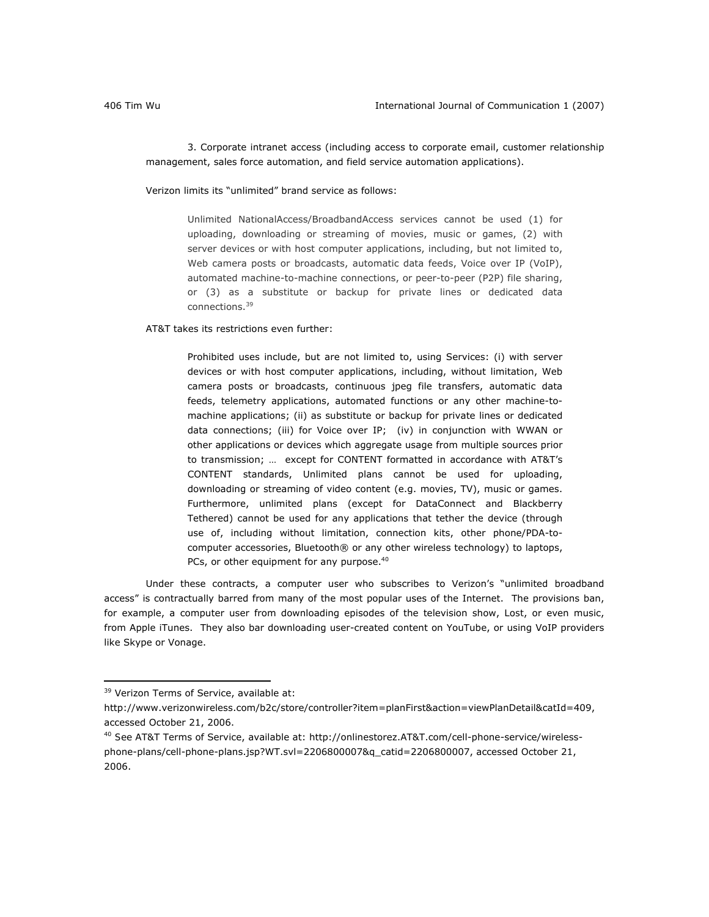3. Corporate intranet access (including access to corporate email, customer relationship management, sales force automation, and field service automation applications).

Verizon limits its "unlimited" brand service as follows:

Unlimited NationalAccess/BroadbandAccess services cannot be used (1) for uploading, downloading or streaming of movies, music or games, (2) with server devices or with host computer applications, including, but not limited to, Web camera posts or broadcasts, automatic data feeds, Voice over IP (VoIP), automated machine-to-machine connections, or peer-to-peer (P2P) file sharing, or (3) as a substitute or backup for private lines or dedicated data connections.<sup>39</sup>

AT&T takes its restrictions even further:

Prohibited uses include, but are not limited to, using Services: (i) with server devices or with host computer applications, including, without limitation, Web camera posts or broadcasts, continuous jpeg file transfers, automatic data feeds, telemetry applications, automated functions or any other machine-tomachine applications; (ii) as substitute or backup for private lines or dedicated data connections; (iii) for Voice over IP; (iv) in conjunction with WWAN or other applications or devices which aggregate usage from multiple sources prior to transmission; … except for CONTENT formatted in accordance with AT&T's CONTENT standards, Unlimited plans cannot be used for uploading, downloading or streaming of video content (e.g. movies, TV), music or games. Furthermore, unlimited plans (except for DataConnect and Blackberry Tethered) cannot be used for any applications that tether the device (through use of, including without limitation, connection kits, other phone/PDA-tocomputer accessories, Bluetooth® or any other wireless technology) to laptops, PCs, or other equipment for any purpose.<sup>40</sup>

Under these contracts, a computer user who subscribes to Verizon's "unlimited broadband access" is contractually barred from many of the most popular uses of the Internet. The provisions ban, for example, a computer user from downloading episodes of the television show, *Lost*, or even music, from Apple iTunes. They also bar downloading user-created content on YouTube, or using VoIP providers like Skype or Vonage.

<sup>&</sup>lt;sup>39</sup> Verizon Terms of Service, available at:

http://www.verizonwireless.com/b2c/store/controller?item=planFirst&action=viewPlanDetail&catId=409, accessed October 21, 2006.

<sup>40</sup> *See* AT&T Terms of Service, available at: http://onlinestorez.AT&T.com/cell-phone-service/wirelessphone-plans/cell-phone-plans.jsp?WT.svl=2206800007&q\_catid=2206800007, accessed October 21, 2006.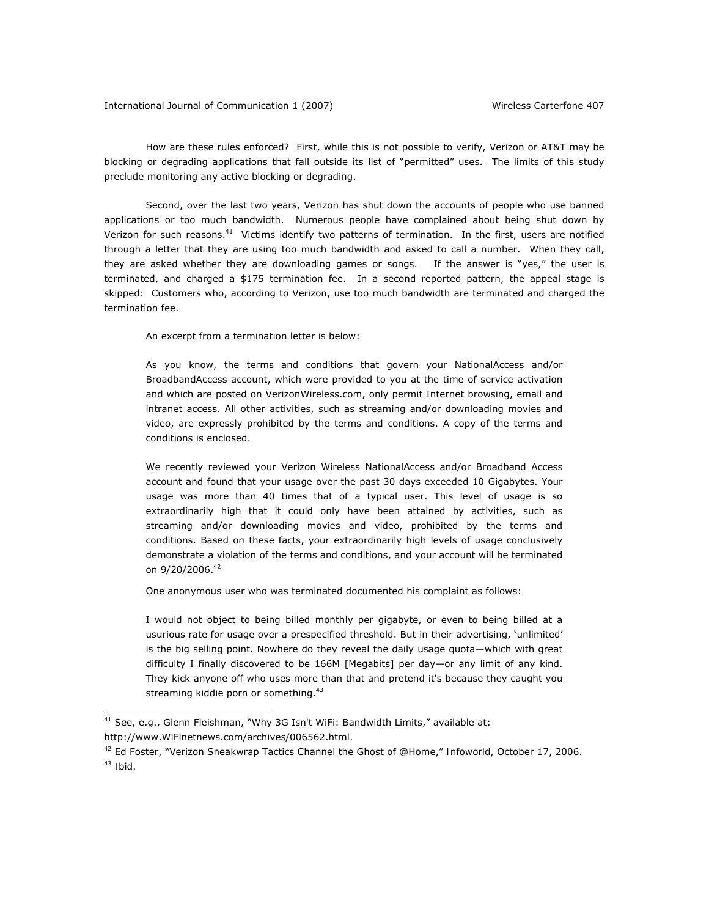How are these rules enforced? First, while this is not possible to verify, Verizon or AT&T may be blocking or degrading applications that fall outside its list of "permitted" uses. The limits of this study preclude monitoring any active blocking or degrading.

Second, over the last two years, Verizon has shut down the accounts of people who use banned applications or too much bandwidth. Numerous people have complained about being shut down by Verizon for such reasons.<sup>41</sup> Victims identify two patterns of termination. In the first, users are notified through a letter that they are using too much bandwidth and asked to call a number. When they call, they are asked whether they are downloading games or songs. If the answer is "yes," the user is terminated, and charged a \$175 termination fee. In a second reported pattern, the appeal stage is skipped: Customers who, according to Verizon, use too much bandwidth are terminated and charged the termination fee.

An excerpt from a termination letter is below:

As you know, the terms and conditions that govern your NationalAccess and/or BroadbandAccess account, which were provided to you at the time of service activation and which are posted on VerizonWireless.com, only permit Internet browsing, email and intranet access. All other activities, such as streaming and/or downloading movies and video, are expressly prohibited by the terms and conditions. A copy of the terms and conditions is enclosed.

We recently reviewed your Verizon Wireless NationalAccess and/or Broadband Access account and found that your usage over the past 30 days exceeded 10 Gigabytes. Your usage was more than 40 times that of a typical user. This level of usage is so extraordinarily high that it could only have been attained by activities, such as streaming and/or downloading movies and video, prohibited by the terms and conditions. Based on these facts, your extraordinarily high levels of usage conclusively demonstrate a violation of the terms and conditions, and your account will be terminated on 9/20/2006.42

One anonymous user who was terminated documented his complaint as follows:

I would not object to being billed monthly per gigabyte, or even to being billed at a usurious rate for usage over a prespecified threshold. But in their advertising, 'unlimited' is the big selling point. Nowhere do they reveal the daily usage quota—which with great difficulty I finally discovered to be 166M [Megabits] per day—or any limit of any kind. They kick anyone off who uses more than that and pretend it's because they caught you streaming kiddie porn or something.<sup>43</sup>

<sup>41</sup> *See*, e.g., Glenn Fleishman, "Why 3G Isn't WiFi: Bandwidth Limits," available at: http://www.WiFinetnews.com/archives/006562.html.

<sup>42</sup> Ed Foster, "Verizon Sneakwrap Tactics Channel the Ghost of @Home," *Infoworld*, October 17, 2006. <sup>43</sup> *Ibid*.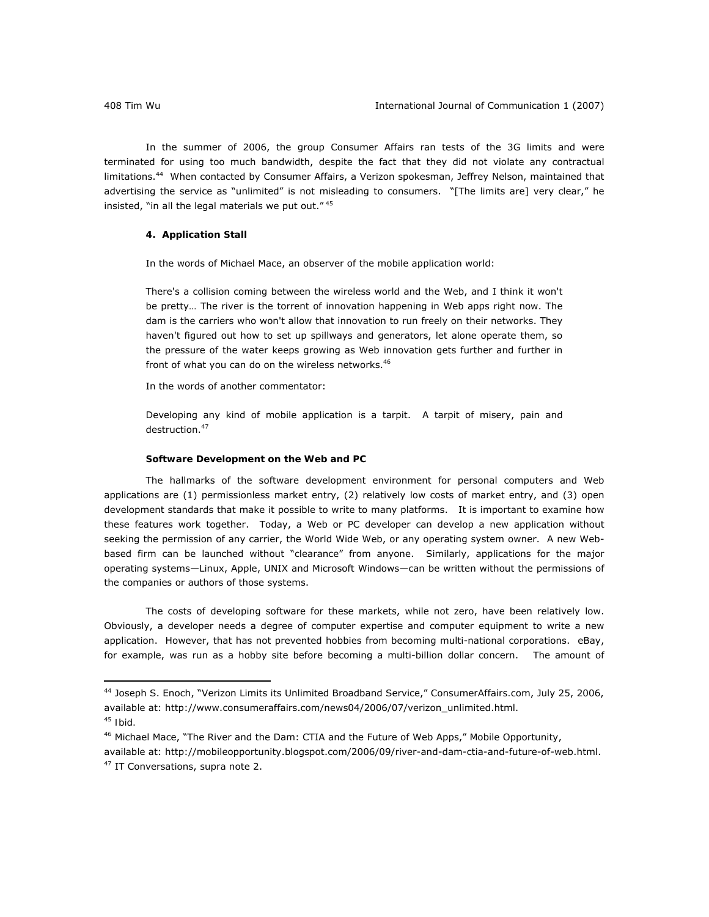In the summer of 2006, the group Consumer Affairs ran tests of the 3G limits and were terminated for using too much bandwidth, despite the fact that they did not violate any contractual limitations.44 When contacted by Consumer Affairs, a Verizon spokesman, Jeffrey Nelson, maintained that advertising the service as "unlimited" is not misleading to consumers. "[The limits are] very clear," he insisted, "in all the legal materials we put out." 45

# **4. Application Stall**

In the words of Michael Mace, an observer of the mobile application world:

There's a collision coming between the wireless world and the Web, and I think it won't be pretty… The river is the torrent of innovation happening in Web apps right now. The dam is the carriers who won't allow that innovation to run freely on their networks. They haven't figured out how to set up spillways and generators, let alone operate them, so the pressure of the water keeps growing as Web innovation gets further and further in front of what you can do on the wireless networks.<sup>46</sup>

In the words of another commentator:

Developing any kind of mobile application is a tarpit. A tarpit of misery, pain and destruction.<sup>47</sup>

# *Software Development on the Web and PC*

The hallmarks of the software development environment for personal computers and Web applications are (1) permissionless market entry, (2) relatively low costs of market entry, and (3) open development standards that make it possible to write to many platforms. It is important to examine how these features work together. Today, a Web or PC developer can develop a new application without seeking the permission of any carrier, the World Wide Web, or any operating system owner. A new Webbased firm can be launched without "clearance" from anyone. Similarly, applications for the major operating systems—Linux, Apple, UNIX and Microsoft Windows—can be written without the permissions of the companies or authors of those systems.

The costs of developing software for these markets, while not zero, have been relatively low. Obviously, a developer needs a degree of computer expertise and computer equipment to write a new application. However, that has not prevented hobbies from becoming multi-national corporations. eBay, for example, was run as a hobby site before becoming a multi-billion dollar concern. The amount of

<sup>44</sup> Joseph S. Enoch, "Verizon Limits its Unlimited Broadband Service," *ConsumerAffairs.com*, July 25, 2006, available at: http://www.consumeraffairs.com/news04/2006/07/verizon\_unlimited.html.

<sup>45</sup> *Ibid.*

<sup>46</sup> Michael Mace, "The River and the Dam: CTIA and the Future of Web Apps," *Mobile Opportunity*,

available at: http://mobileopportunity.blogspot.com/2006/09/river-and-dam-ctia-and-future-of-web.html. 47 IT Conversations, *supra* note 2.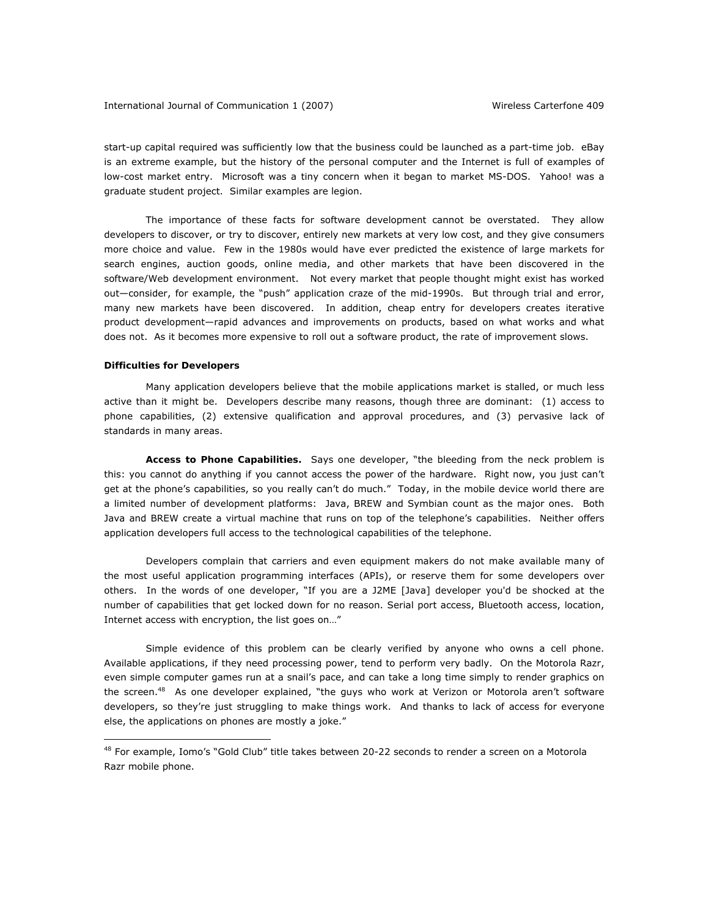## International Journal of Communication 1 (2007) Wireless *Carterfone* 409

start-up capital required was sufficiently low that the business could be launched as a part-time job. eBay is an extreme example, but the history of the personal computer and the Internet is full of examples of low-cost market entry. Microsoft was a tiny concern when it began to market MS-DOS. Yahoo! was a graduate student project. Similar examples are legion.

The importance of these facts for software development cannot be overstated. They allow developers to discover, or try to discover, entirely new markets at very low cost, and they give consumers more choice and value. Few in the 1980s would have ever predicted the existence of large markets for search engines, auction goods, online media, and other markets that have been discovered in the software/Web development environment. Not every market that people thought might exist has worked out—consider, for example, the "push" application craze of the mid-1990s. But through trial and error, many new markets have been discovered. In addition, cheap entry for developers creates iterative product development—rapid advances and improvements on products, based on what works and what does not. As it becomes more expensive to roll out a software product, the rate of improvement slows.

### *Difficulties for Developers*

 $\overline{a}$ 

Many application developers believe that the mobile applications market is stalled, or much less active than it might be. Developers describe many reasons, though three are dominant: (1) access to phone capabilities, (2) extensive qualification and approval procedures, and (3) pervasive lack of standards in many areas.

Access to Phone Capabilities. Says one developer, "the bleeding from the neck problem is this: you cannot do anything if you cannot access the power of the hardware. Right now, you just can't get at the phone's capabilities, so you really can't do much." Today, in the mobile device world there are a limited number of development platforms: Java, BREW and Symbian count as the major ones. Both Java and BREW create a virtual machine that runs on top of the telephone's capabilities. Neither offers application developers full access to the technological capabilities of the telephone.

Developers complain that carriers and even equipment makers do not make available many of the most useful application programming interfaces (APIs), or reserve them for some developers over others. In the words of one developer, "If you are a J2ME [Java] developer you'd be shocked at the number of capabilities that get locked down for no reason. Serial port access, Bluetooth access, location, Internet access with encryption, the list goes on…"

Simple evidence of this problem can be clearly verified by anyone who owns a cell phone. Available applications, if they need processing power, tend to perform very badly. On the Motorola Razr, even simple computer games run at a snail's pace, and can take a long time simply to render graphics on the screen.<sup>48</sup> As one developer explained, "the guys who work at Verizon or Motorola aren't software developers, so they're just struggling to make things work. And thanks to lack of access for everyone else, the applications on phones are mostly a joke."

<sup>&</sup>lt;sup>48</sup> For example, Iomo's "Gold Club" title takes between 20-22 seconds to render a screen on a Motorola Razr mobile phone.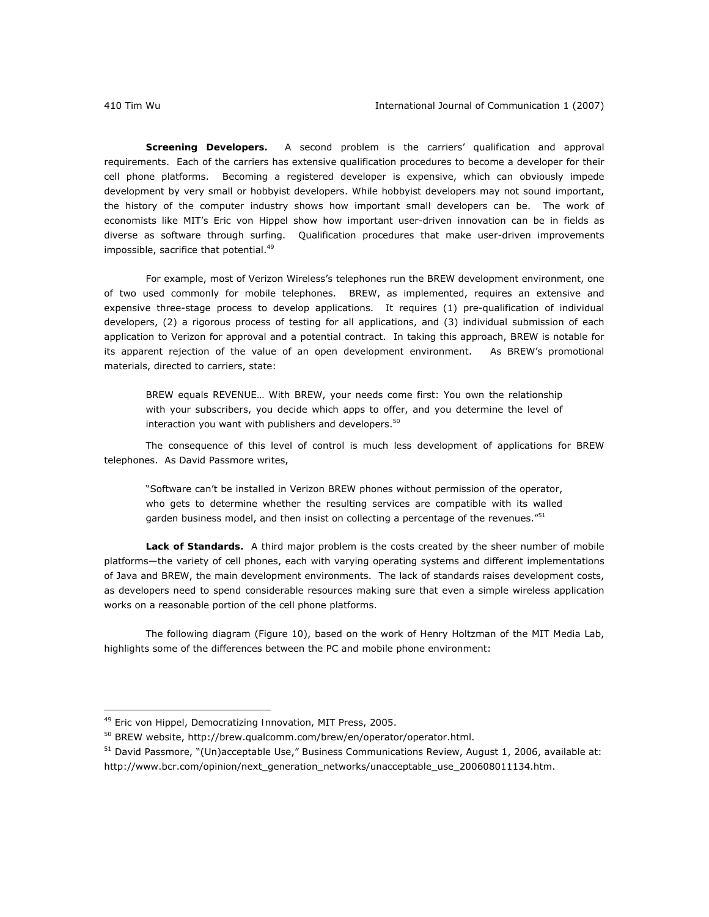*Screening Developers.* A second problem is the carriers' qualification and approval requirements. Each of the carriers has extensive qualification procedures to become a developer for their cell phone platforms. Becoming a registered developer is expensive, which can obviously impede development by very small or hobbyist developers. While hobbyist developers may not sound important, the history of the computer industry shows how important small developers can be. The work of economists like MIT's Eric von Hippel show how important user-driven innovation can be in fields as diverse as software through surfing. Qualification procedures that make user-driven improvements impossible, sacrifice that potential.<sup>49</sup>

For example, most of Verizon Wireless's telephones run the BREW development environment, one of two used commonly for mobile telephones. BREW, as implemented, requires an extensive and expensive three-stage process to develop applications. It requires (1) pre-qualification of individual developers, (2) a rigorous process of testing for all applications, and (3) individual submission of each application to Verizon for approval and a potential contract. In taking this approach, BREW is notable for its apparent rejection of the value of an open development environment. As BREW's promotional materials, directed to carriers, state:

BREW equals REVENUE… With BREW, your needs come first: You own the relationship with your subscribers, you decide which apps to offer, and you determine the level of interaction you want with publishers and developers. $50$ 

The consequence of this level of control is much less development of applications for BREW telephones. As David Passmore writes,

"Software can't be installed in Verizon BREW phones without permission of the operator, who gets to determine whether the resulting services are compatible with its walled garden business model, and then insist on collecting a percentage of the revenues."<sup>51</sup>

Lack of Standards. A third major problem is the costs created by the sheer number of mobile platforms—the variety of cell phones, each with varying operating systems and different implementations of Java and BREW, the main development environments. The lack of standards raises development costs, as developers need to spend considerable resources making sure that even a simple wireless application works on a reasonable portion of the cell phone platforms.

The following diagram (Figure 10), based on the work of Henry Holtzman of the MIT Media Lab, highlights some of the differences between the PC and mobile phone environment:

<sup>49</sup> Eric von Hippel, *Democratizing Innovation*, MIT Press, 2005.

<sup>50</sup> BREW website, http://brew.qualcomm.com/brew/en/operator/operator.html.

<sup>51</sup> David Passmore, "(Un)acceptable Use," *Business Communications Review*, August 1, 2006, available at: http://www.bcr.com/opinion/next\_generation\_networks/unacceptable\_use\_200608011134.htm.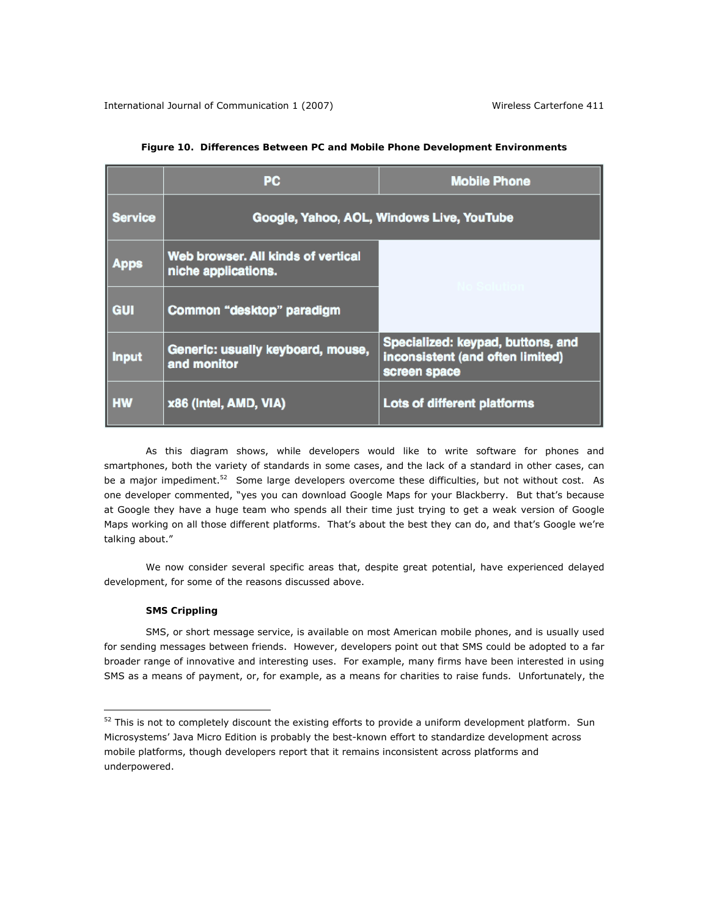|                | <b>PC</b>                                                 | <b>Mobile Phone</b>                                                                   |
|----------------|-----------------------------------------------------------|---------------------------------------------------------------------------------------|
| <b>Service</b> | Google, Yahoo, AOL, Windows Live, YouTube                 |                                                                                       |
| Apps           | Web browser. All kinds of vertical<br>niche applications. |                                                                                       |
| <b>GUI</b>     | Common "desktop" paradigm                                 |                                                                                       |
| <b>Input</b>   | Generic: usually keyboard, mouse,<br>and monitor          | Specialized: keypad, buttons, and<br>inconsistent (and often limited)<br>screen space |
| <b>HW</b>      | x86 (Intel, AMD, VIA)                                     | Lots of different platforms                                                           |

# **Figure 10. Differences Between PC and Mobile Phone Development Environments**

As this diagram shows, while developers would like to write software for phones and smartphones, both the variety of standards in some cases, and the lack of a standard in other cases, can be a major impediment.<sup>52</sup> Some large developers overcome these difficulties, but not without cost. As one developer commented, "yes you can download Google Maps for your Blackberry. But that's because at Google they have a huge team who spends all their time just trying to get a weak version of Google Maps working on all those different platforms. That's about the best they can do, and that's Google we're talking about."

We now consider several specific areas that, despite great potential, have experienced delayed development, for some of the reasons discussed above.

# *SMS Crippling*

 $\overline{a}$ 

SMS, or short message service, is available on most American mobile phones, and is usually used for sending messages between friends. However, developers point out that SMS could be adopted to a far broader range of innovative and interesting uses. For example, many firms have been interested in using SMS as a means of payment, or, for example, as a means for charities to raise funds. Unfortunately, the

<sup>52</sup> This is not to completely discount the existing efforts to provide a uniform development platform. Sun Microsystems' Java Micro Edition is probably the best-known effort to standardize development across mobile platforms, though developers report that it remains inconsistent across platforms and underpowered.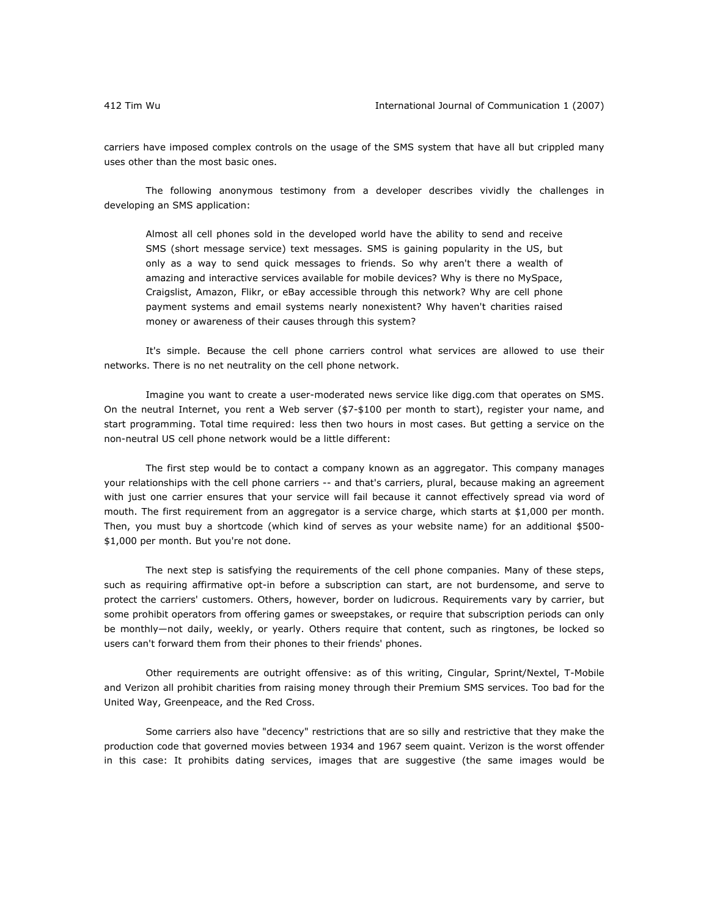carriers have imposed complex controls on the usage of the SMS system that have all but crippled many uses other than the most basic ones.

The following anonymous testimony from a developer describes vividly the challenges in developing an SMS application:

Almost all cell phones sold in the developed world have the ability to send and receive SMS (short message service) text messages. SMS is gaining popularity in the US, but only as a way to send quick messages to friends. So why aren't there a wealth of amazing and interactive services available for mobile devices? Why is there no MySpace, Craigslist, Amazon, Flikr, or eBay accessible through this network? Why are cell phone payment systems and email systems nearly nonexistent? Why haven't charities raised money or awareness of their causes through this system?

It's simple. Because the cell phone carriers control what services are allowed to use their networks. There is no net neutrality on the cell phone network.

Imagine you want to create a user-moderated news service like digg.com that operates on SMS. On the neutral Internet, you rent a Web server (\$7-\$100 per month to start), register your name, and start programming. Total time required: less then two hours in most cases. But getting a service on the non-neutral US cell phone network would be a little different:

The first step would be to contact a company known as an aggregator. This company manages your relationships with the cell phone carriers -- and that's carriers, plural, because making an agreement with just one carrier ensures that your service will fail because it cannot effectively spread via word of mouth. The first requirement from an aggregator is a service charge, which starts at \$1,000 per month. Then, you must buy a shortcode (which kind of serves as your website name) for an additional \$500- \$1,000 per month. But you're not done.

The next step is satisfying the requirements of the cell phone companies. Many of these steps, such as requiring affirmative opt-in before a subscription can start, are not burdensome, and serve to protect the carriers' customers. Others, however, border on ludicrous. Requirements vary by carrier, but some prohibit operators from offering games or sweepstakes, or require that subscription periods can only be monthly—not daily, weekly, or yearly. Others require that content, such as ringtones, be locked so users can't forward them from their phones to their friends' phones.

Other requirements are outright offensive: as of this writing, Cingular, Sprint/Nextel, T-Mobile and Verizon all prohibit charities from raising money through their Premium SMS services. Too bad for the United Way, Greenpeace, and the Red Cross.

Some carriers also have "decency" restrictions that are so silly and restrictive that they make the production code that governed movies between 1934 and 1967 seem quaint. Verizon is the worst offender in this case: It prohibits dating services, images that are suggestive (the same images would be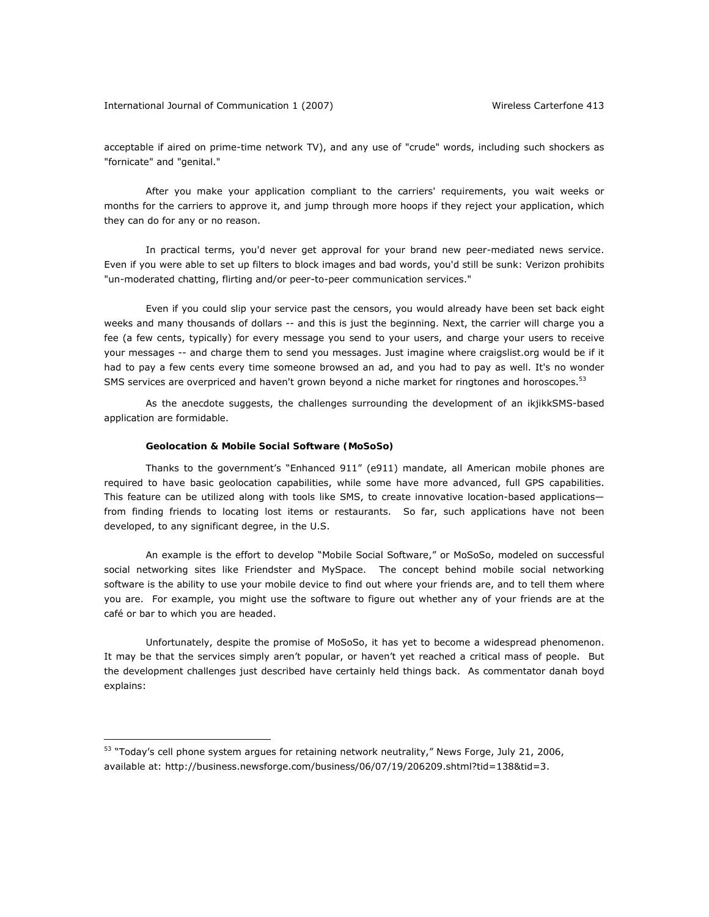acceptable if aired on prime-time network TV), and any use of "crude" words, including such shockers as "fornicate" and "genital."

After you make your application compliant to the carriers' requirements, you wait weeks or months for the carriers to approve it, and jump through more hoops if they reject your application, which they can do for any or no reason.

In practical terms, you'd never get approval for your brand new peer-mediated news service. Even if you were able to set up filters to block images and bad words, you'd still be sunk: Verizon prohibits "un-moderated chatting, flirting and/or peer-to-peer communication services."

Even if you could slip your service past the censors, you would already have been set back eight weeks and many thousands of dollars -- and this is just the beginning. Next, the carrier will charge you a fee (a few cents, typically) for every message you send to your users, and charge your users to receive your messages -- and charge them to send you messages. Just imagine where craigslist.org would be if it had to pay a few cents every time someone browsed an ad, and you had to pay as well. It's no wonder SMS services are overpriced and haven't grown beyond a niche market for ringtones and horoscopes.<sup>53</sup>

As the anecdote suggests, the challenges surrounding the development of an ikjikkSMS-based application are formidable.

## *Geolocation & Mobile Social Software (MoSoSo)*

 $\overline{a}$ 

Thanks to the government's "Enhanced 911" (e911) mandate, all American mobile phones are required to have basic geolocation capabilities, while some have more advanced, full GPS capabilities. This feature can be utilized along with tools like SMS, to create innovative location-based applications from finding friends to locating lost items or restaurants. So far, such applications have not been developed, to any significant degree, in the U.S.

An example is the effort to develop "Mobile Social Software," or MoSoSo, modeled on successful social networking sites like Friendster and MySpace. The concept behind mobile social networking software is the ability to use your mobile device to find out where your friends are, and to tell them where you are. For example, you might use the software to figure out whether any of your friends are at the café or bar to which you are headed.

Unfortunately, despite the promise of MoSoSo, it has yet to become a widespread phenomenon. It may be that the services simply aren't popular, or haven't yet reached a critical mass of people. But the development challenges just described have certainly held things back. As commentator danah boyd explains:

<sup>53 &</sup>quot;Today's cell phone system argues for retaining network neutrality," *News Forge*, July 21, 2006, available at: http://business.newsforge.com/business/06/07/19/206209.shtml?tid=138&tid=3.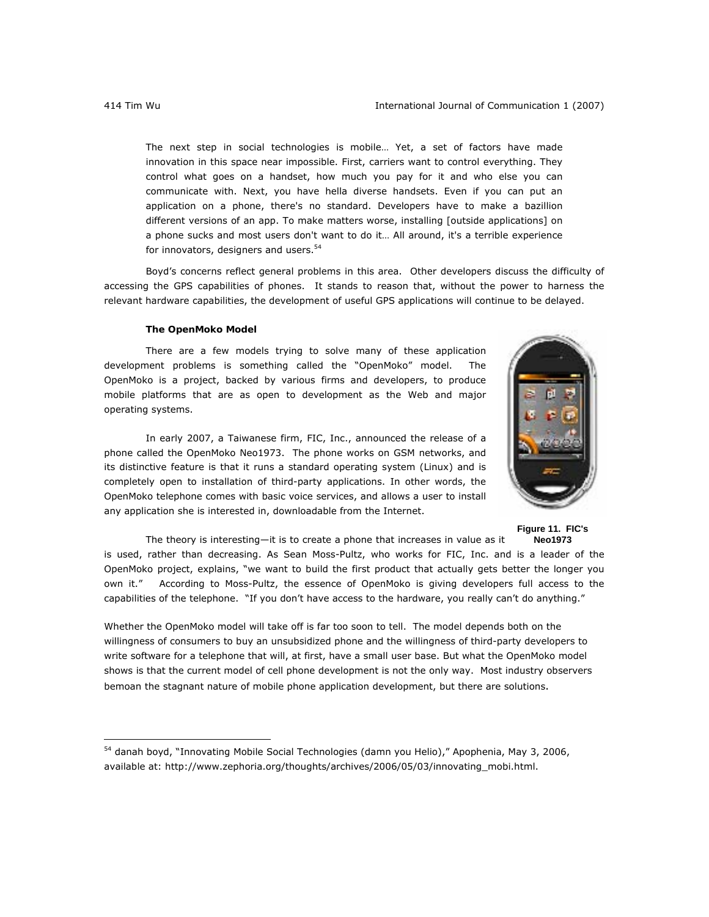The next step in social technologies is mobile… Yet, a set of factors have made innovation in this space near impossible. First, carriers want to control everything. They control what goes on a handset, how much you pay for it and who else you can communicate with. Next, you have hella diverse handsets. Even if you can put an application on a phone, there's no standard. Developers have to make a bazillion different versions of an app. To make matters worse, installing [outside applications] on a phone sucks and most users don't want to do it… All around, it's a terrible experience for innovators, designers and users.<sup>54</sup>

Boyd's concerns reflect general problems in this area. Other developers discuss the difficulty of accessing the GPS capabilities of phones. It stands to reason that, without the power to harness the relevant hardware capabilities, the development of useful GPS applications will continue to be delayed.

## *The OpenMoko Model*

There are a few models trying to solve many of these application development problems is something called the "OpenMoko" model. The OpenMoko is a project, backed by various firms and developers, to produce mobile platforms that are as open to development as the Web and major operating systems.

In early 2007, a Taiwanese firm, FIC, Inc., announced the release of a phone called the OpenMoko Neo1973. The phone works on GSM networks, and its distinctive feature is that it runs a standard operating system (Linux) and is completely open to installation of third-party applications. In other words, the OpenMoko telephone comes with basic voice services, and allows a user to install any application she is interested in, downloadable from the Internet.



**Figure 11. FIC's Neo1973** 

The theory is interesting—it is to create a phone that increases in value as it is used, rather than decreasing. As Sean Moss-Pultz, who works for FIC, Inc. and is a leader of the OpenMoko project, explains, "we want to build the first product that actually gets better the longer you own it." According to Moss-Pultz, the essence of OpenMoko is giving developers full access to the capabilities of the telephone. "If you don't have access to the hardware, you really can't do anything."

Whether the OpenMoko model will take off is far too soon to tell. The model depends both on the willingness of consumers to buy an unsubsidized phone and the willingness of third-party developers to write software for a telephone that will, at first, have a small user base. But what the OpenMoko model shows is that the current model of cell phone development is not the only way. Most industry observers bemoan the stagnant nature of mobile phone application development, but there are solutions.

<sup>54</sup> danah boyd, "Innovating Mobile Social Technologies (damn you Helio)," *Apophenia*, May 3, 2006, available at: http://www.zephoria.org/thoughts/archives/2006/05/03/innovating\_mobi.html.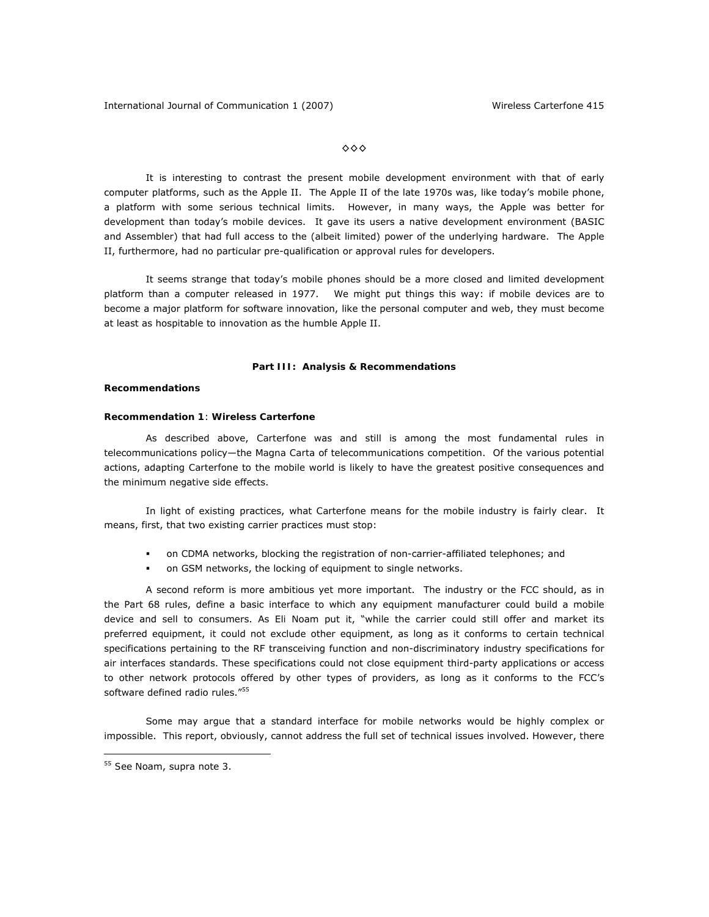◊◊◊

It is interesting to contrast the present mobile development environment with that of early computer platforms, such as the Apple II. The Apple II of the late 1970s was, like today's mobile phone, a platform with some serious technical limits. However, in many ways, the Apple was better for development than today's mobile devices. It gave its users a native development environment (BASIC and Assembler) that had full access to the (albeit limited) power of the underlying hardware. The Apple II, furthermore, had no particular pre-qualification or approval rules for developers.

It seems strange that today's mobile phones should be a more closed and limited development platform than a computer released in 1977. We might put things this way: if mobile devices are to become a major platform for software innovation, like the personal computer and web, they must become at least as hospitable to innovation as the humble Apple II.

## **Part III: Analysis & Recommendations**

# **Recommendations**

# **Recommendation 1**: **Wireless** *Carterfone*

As described above, *Carterfone* was and still is among the most fundamental rules in telecommunications policy—the *Magna Carta* of telecommunications competition. Of the various potential actions, adapting *Carterfone* to the mobile world is likely to have the greatest positive consequences and the minimum negative side effects.

In light of existing practices, what *Carterfone* means for the mobile industry is fairly clear. It means, first, that two existing carrier practices must stop:

- on CDMA networks, blocking the registration of non-carrier-affiliated telephones; and
- on GSM networks, the locking of equipment to single networks.

A second reform is more ambitious yet more important. The industry or the FCC should, as in the Part 68 rules, define a basic interface to which any equipment manufacturer could build a mobile device and sell to consumers. As Eli Noam put it, "while the carrier could still offer and market its preferred equipment, it could not exclude other equipment, as long as it conforms to certain technical specifications pertaining to the RF transceiving function and non-discriminatory industry specifications for air interfaces standards. These specifications could not close equipment third-party applications or access to other network protocols offered by other types of providers, as long as it conforms to the FCC's software defined radio rules."<sup>55</sup>

Some may argue that a standard interface for mobile networks would be highly complex or impossible. This report, obviously, cannot address the full set of technical issues involved. However, there

<sup>55</sup> *See* Noam, supra note 3.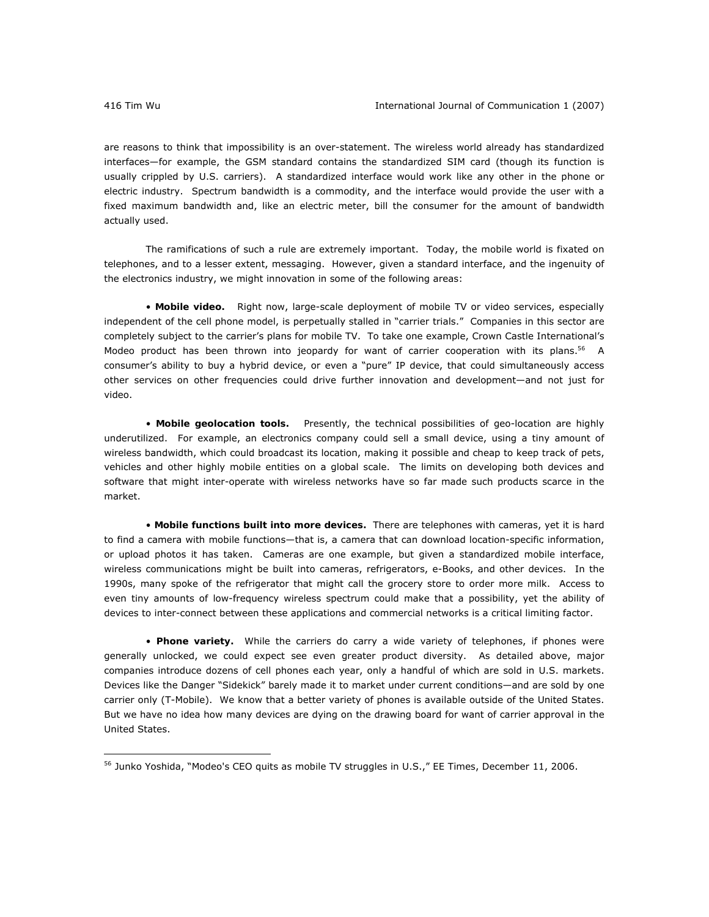are reasons to think that impossibility is an over-statement. The wireless world already has standardized interfaces—for example, the GSM standard contains the standardized SIM card (though its function is usually crippled by U.S. carriers). A standardized interface would work like any other in the phone or electric industry. Spectrum bandwidth is a commodity, and the interface would provide the user with a fixed maximum bandwidth and, like an electric meter, bill the consumer for the amount of bandwidth actually used.

The ramifications of such a rule are extremely important. Today, the mobile world is fixated on telephones, and to a lesser extent, messaging. However, given a standard interface, and the ingenuity of the electronics industry, we might innovation in some of the following areas:

• *Mobile video***.** Right now, large-scale deployment of mobile TV or video services, especially independent of the cell phone model, is perpetually stalled in "carrier trials." Companies in this sector are completely subject to the carrier's plans for mobile TV. To take one example, Crown Castle International's *Modeo* product has been thrown into jeopardy for want of carrier cooperation with its plans.56 A consumer's ability to buy a hybrid device, or even a "pure" IP device, that could simultaneously access other services on other frequencies could drive further innovation and development—and not just for video.

• *Mobile geolocation tools***.** Presently, the technical possibilities of geo-location are highly underutilized. For example, an electronics company could sell a small device, using a tiny amount of wireless bandwidth, which could broadcast its location, making it possible and cheap to keep track of pets, vehicles and other highly mobile entities on a global scale. The limits on developing both devices and software that might inter-operate with wireless networks have so far made such products scarce in the market.

• *Mobile functions built into more devices***.** There are telephones with cameras, yet it is hard to find a camera with mobile functions—that is, a camera that can download location-specific information, or upload photos it has taken. Cameras are one example, but given a standardized mobile interface, wireless communications might be built into cameras, refrigerators, e-Books, and other devices. In the 1990s, many spoke of the refrigerator that might call the grocery store to order more milk. Access to even tiny amounts of low-frequency wireless spectrum could make that a possibility, yet the ability of devices to inter-connect between these applications and commercial networks is a critical limiting factor.

• *Phone variety.* While the carriers do carry a wide variety of telephones, if phones were generally unlocked, we could expect see even greater product diversity. As detailed above, major companies introduce dozens of cell phones each year, only a handful of which are sold in U.S. markets. Devices like the Danger "Sidekick" barely made it to market under current conditions—and are sold by one carrier only (T-Mobile). We know that a better variety of phones is available outside of the United States. But we have no idea how many devices are dying on the drawing board for want of carrier approval in the United States.

<sup>56</sup> Junko Yoshida, "Modeo's CEO quits as mobile TV struggles in U.S.," *EE Times*, December 11, 2006.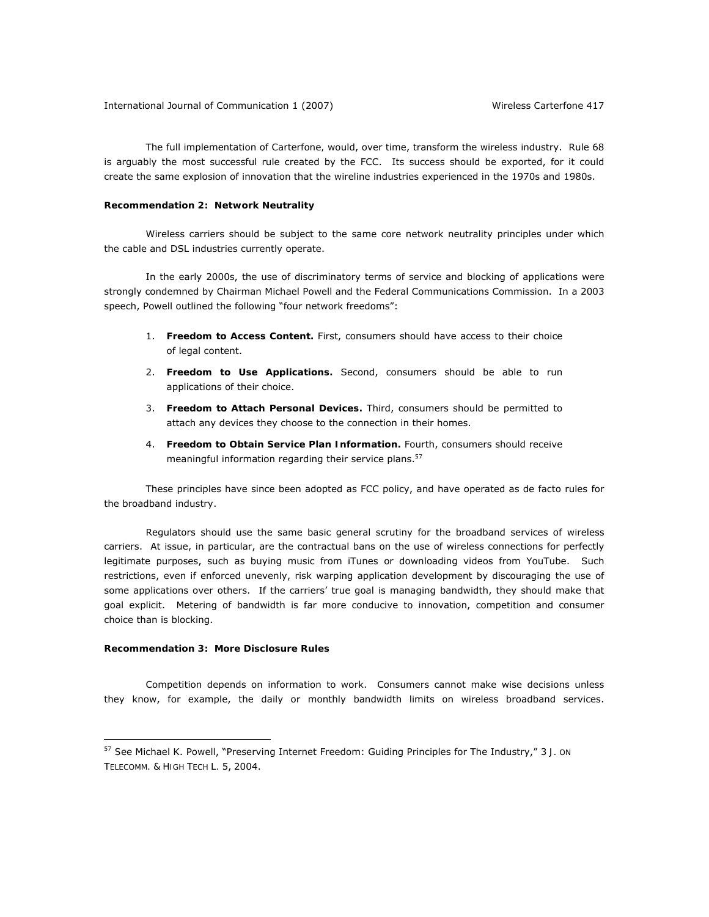The full implementation of *Carterfone,* would, over time, transform the wireless industry. Rule 68 is arguably the most successful rule created by the FCC. Its success should be exported, for it could create the same explosion of innovation that the wireline industries experienced in the 1970s and 1980s.

# **Recommendation 2:** *Network Neutrality*

Wireless carriers should be subject to the same core network neutrality principles under which the cable and DSL industries currently operate.

In the early 2000s, the use of discriminatory terms of service and blocking of applications were strongly condemned by Chairman Michael Powell and the Federal Communications Commission. In a 2003 speech, Powell outlined the following "four network freedoms":

- 1. *Freedom to Access Content.* First, consumers should have access to their choice of legal content.
- 2. *Freedom to Use Applications.* Second, consumers should be able to run applications of their choice.
- 3. *Freedom to Attach Personal Devices.* Third, consumers should be permitted to attach any devices they choose to the connection in their homes.
- 4. *Freedom to Obtain Service Plan Information***.** Fourth, consumers should receive meaningful information regarding their service plans.<sup>57</sup>

These principles have since been adopted as FCC policy, and have operated as *de facto* rules for the broadband industry.

Regulators should use the same basic general scrutiny for the broadband services of wireless carriers. At issue, in particular, are the contractual bans on the use of wireless connections for perfectly legitimate purposes, such as buying music from iTunes or downloading videos from YouTube. Such restrictions, even if enforced unevenly, risk warping application development by discouraging the use of some applications over others. If the carriers' true goal is managing bandwidth, they should make that goal explicit. Metering of bandwidth is far more conducive to innovation, competition and consumer choice than is blocking.

# **Recommendation 3:** *More Disclosure Rules*

 $\overline{a}$ 

Competition depends on information to work. Consumers cannot make wise decisions unless they know, for example, the daily or monthly bandwidth limits on wireless broadband services.

<sup>57</sup> *See* Michael K. Powell, "Preserving Internet Freedom: Guiding Principles for The Industry," 3 *J. ON TELECOMM. & HIGH TECH L.* 5, 2004.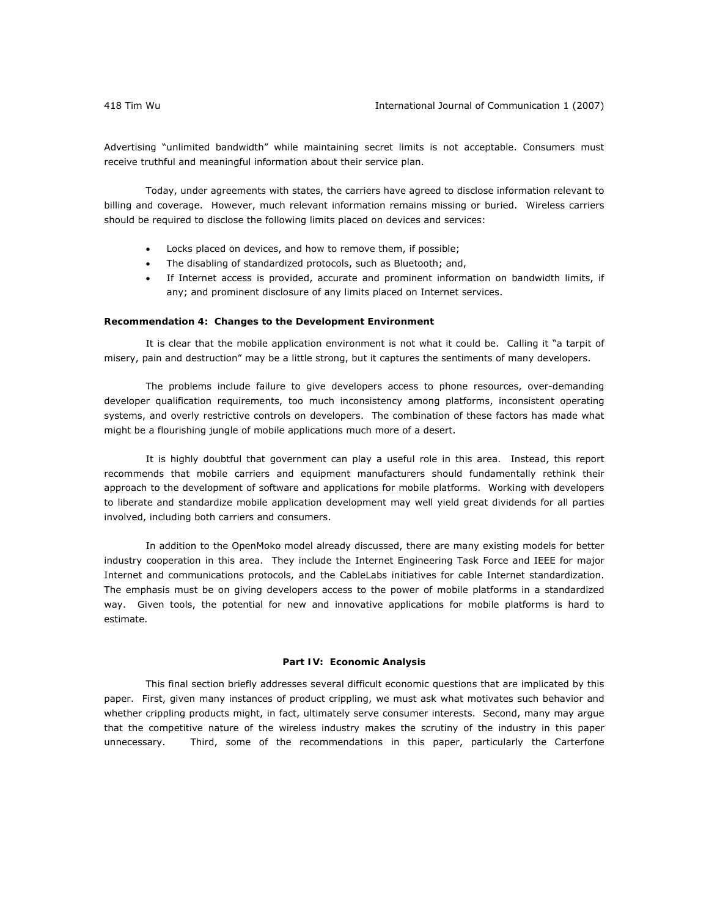Advertising "unlimited bandwidth" while maintaining secret limits is not acceptable. Consumers must receive truthful and meaningful information about their service plan.

Today, under agreements with states, the carriers have agreed to disclose information relevant to billing and coverage. However, much relevant information remains missing or buried. Wireless carriers should be required to disclose the following limits placed on devices and services:

- Locks placed on devices, and how to remove them, if possible;
- The disabling of standardized protocols, such as Bluetooth; and,
- If Internet access is provided, accurate and prominent information on bandwidth limits, if any; and prominent disclosure of any limits placed on Internet services.

### **Recommendation 4:** *Changes to the Development Environment*

It is clear that the mobile application environment is not what it could be. Calling it "a tarpit of misery, pain and destruction" may be a little strong, but it captures the sentiments of many developers.

The problems include failure to give developers access to phone resources, over-demanding developer qualification requirements, too much inconsistency among platforms, inconsistent operating systems, and overly restrictive controls on developers. The combination of these factors has made what might be a flourishing jungle of mobile applications much more of a desert.

It is highly doubtful that government can play a useful role in this area. Instead, this report recommends that mobile carriers and equipment manufacturers should fundamentally rethink their approach to the development of software and applications for mobile platforms. Working with developers to liberate and standardize mobile application development may well yield great dividends for all parties involved, including both carriers and consumers.

In addition to the OpenMoko model already discussed, there are many existing models for better industry cooperation in this area. They include the Internet Engineering Task Force and IEEE for major Internet and communications protocols, and the CableLabs initiatives for cable Internet standardization. The emphasis must be on giving developers access to the power of mobile platforms in a standardized way. Given tools, the potential for new and innovative applications for mobile platforms is hard to estimate.

## **Part IV: Economic Analysis**

This final section briefly addresses several difficult economic questions that are implicated by this paper. First, given many instances of product crippling, we must ask what motivates such behavior and whether crippling products might, in fact, ultimately serve consumer interests. Second, many may argue that the competitive nature of the wireless industry makes the scrutiny of the industry in this paper unnecessary. Third, some of the recommendations in this paper, particularly the *Carterfone*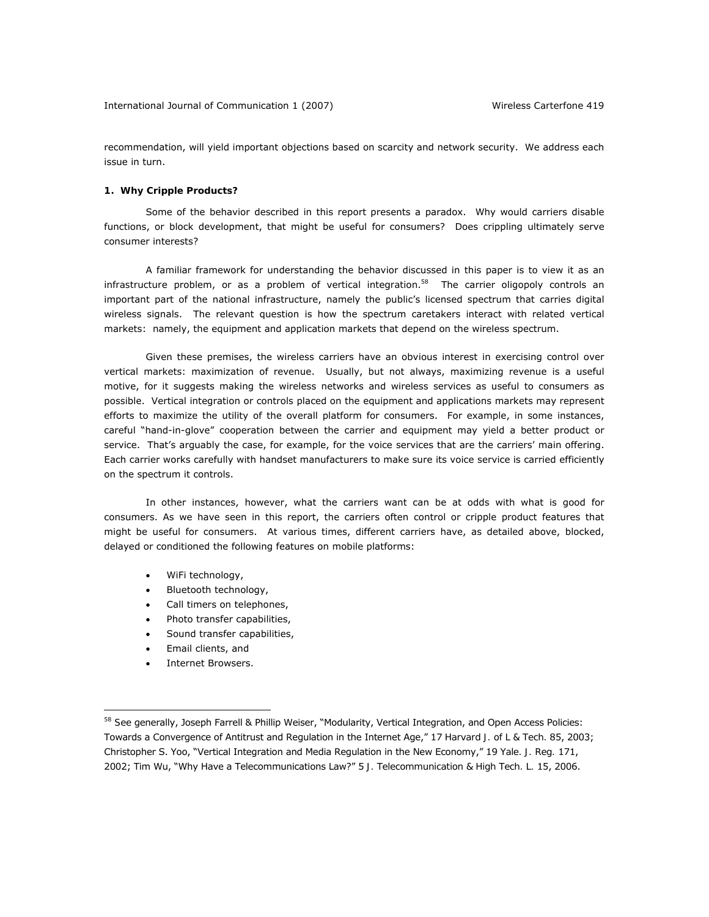recommendation, will yield important objections based on scarcity and network security. We address each issue in turn.

# **1. Why Cripple Products?**

Some of the behavior described in this report presents a paradox. Why would carriers disable functions, or block development, that might be useful for consumers? Does crippling ultimately serve consumer interests?

A familiar framework for understanding the behavior discussed in this paper is to view it as an *infrastructure* problem, or as a problem of *vertical integration*. 58 The carrier oligopoly controls an important part of the national infrastructure, namely the public's licensed spectrum that carries digital wireless signals. The relevant question is how the spectrum caretakers interact with related vertical markets: namely, the equipment and application markets that depend on the wireless spectrum.

Given these premises, the wireless carriers have an obvious interest in exercising control over vertical markets: maximization of revenue. Usually, but not always, maximizing revenue is a useful motive, for it suggests making the wireless networks and wireless services as useful to consumers as possible. Vertical integration or controls placed on the equipment and applications markets may represent efforts to maximize the utility of the overall platform for consumers. For example, in some instances, careful "hand-in-glove" cooperation between the carrier and equipment may yield a better product or service. That's arguably the case, for example, for the voice services that are the carriers' main offering. Each carrier works carefully with handset manufacturers to make sure its voice service is carried efficiently on the spectrum it controls.

In other instances, however, what the carriers want can be at odds with what is good for consumers. As we have seen in this report, the carriers often control or cripple product features that might be useful for consumers. At various times, different carriers have, as detailed above, blocked, delayed or conditioned the following features on mobile platforms:

- WiFi technology,
- Bluetooth technology,
- Call timers on telephones,
- Photo transfer capabilities,
- Sound transfer capabilities,
- Email clients, and

 $\overline{a}$ 

Internet Browsers.

<sup>58</sup> *See* generally, Joseph Farrell & Phillip Weiser, "Modularity, Vertical Integration, and Open Access Policies: Towards a Convergence of Antitrust and Regulation in the Internet Age," 17 *Harvard J. of L & Tech.* 85, 2003; Christopher S. Yoo, "Vertical Integration and Media Regulation in the New Economy," 19 *Yale. J. Reg.* 171, 2002; Tim Wu, "Why Have a Telecommunications Law?" 5 *J. Telecommunication & High Tech. L.* 15, 2006.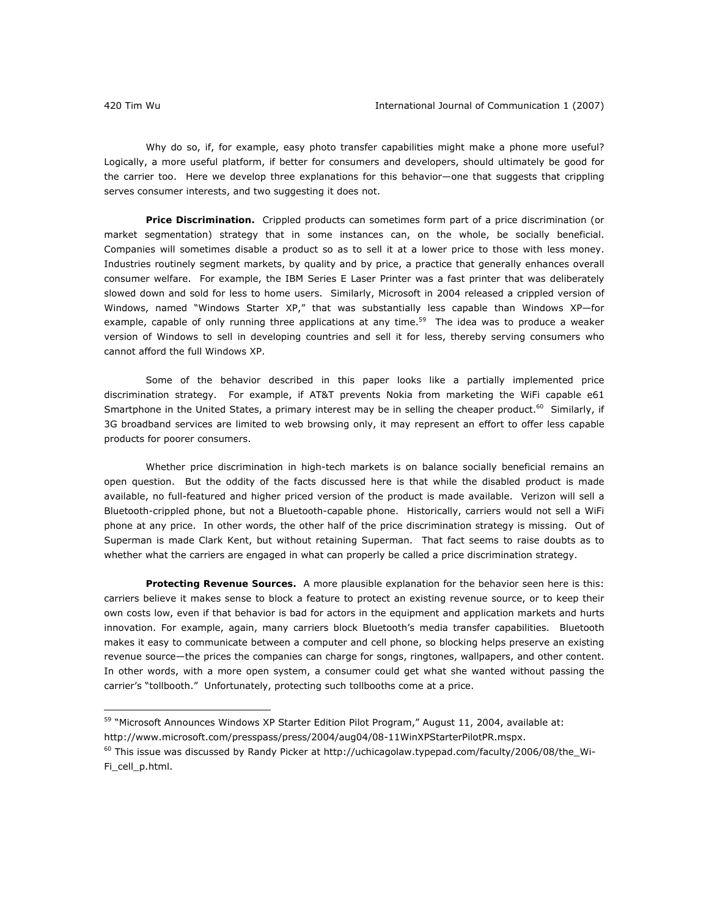Why do so, if, for example, easy photo transfer capabilities might make a phone more useful? Logically, a more useful platform, if better for consumers and developers, should ultimately be good for the carrier too. Here we develop three explanations for this behavior—one that suggests that crippling serves consumer interests, and two suggesting it does not.

*Price Discrimination.* Crippled products can sometimes form part of a price discrimination (or market segmentation) strategy that in some instances can, on the whole, be socially beneficial. Companies will sometimes disable a product so as to sell it at a lower price to those with less money. Industries routinely segment markets, by quality and by price, a practice that generally enhances overall consumer welfare. For example, the IBM Series E Laser Printer was a fast printer that was deliberately slowed down and sold for less to home users. Similarly, Microsoft in 2004 released a crippled version of Windows, named "Windows Starter XP," that was substantially less capable than Windows XP—for example, capable of only running three applications at any time.<sup>59</sup> The idea was to produce a weaker version of Windows to sell in developing countries and sell it for less, thereby serving consumers who cannot afford the full Windows XP.

Some of the behavior described in this paper looks like a partially implemented price discrimination strategy. For example, if AT&T prevents Nokia from marketing the WiFi capable e61 Smartphone in the United States, a primary interest may be in selling the cheaper product.<sup>60</sup> Similarly, if 3G broadband services are limited to web browsing only, it may represent an effort to offer less capable products for poorer consumers.

Whether price discrimination in high-tech markets is on balance socially beneficial remains an open question. But the oddity of the facts discussed here is that while the disabled product is made available, no full-featured and higher priced version of the product is made available. Verizon will sell a Bluetooth-crippled phone, but not a Bluetooth-capable phone. Historically, carriers would not sell a WiFi phone at any price. In other words, the other half of the price discrimination strategy is missing. Out of Superman is made Clark Kent, but without retaining Superman. That fact seems to raise doubts as to whether what the carriers are engaged in what can properly be called a price discrimination strategy.

*Protecting Revenue Sources.* A more plausible explanation for the behavior seen here is this: carriers believe it makes sense to block a feature to protect an existing revenue source, or to keep their own costs low, even if that behavior is bad for actors in the equipment and application markets and hurts innovation. For example, again, many carriers block Bluetooth's media transfer capabilities. Bluetooth makes it easy to communicate between a computer and cell phone, so blocking helps preserve an existing revenue source—the prices the companies can charge for songs, ringtones, wallpapers, and other content. In other words, with a more open system, a consumer could get what she wanted without passing the carrier's "tollbooth." Unfortunately, protecting such tollbooths come at a price.

<sup>59 &</sup>quot;Microsoft Announces Windows XP Starter Edition Pilot Program," August 11, 2004, available at: http://www.microsoft.com/presspass/press/2004/aug04/08-11WinXPStarterPilotPR.mspx.

 $^{60}$  This issue was discussed by Randy Picker at http://uchicagolaw.typepad.com/faculty/2006/08/the Wi-Fi\_cell\_p.html.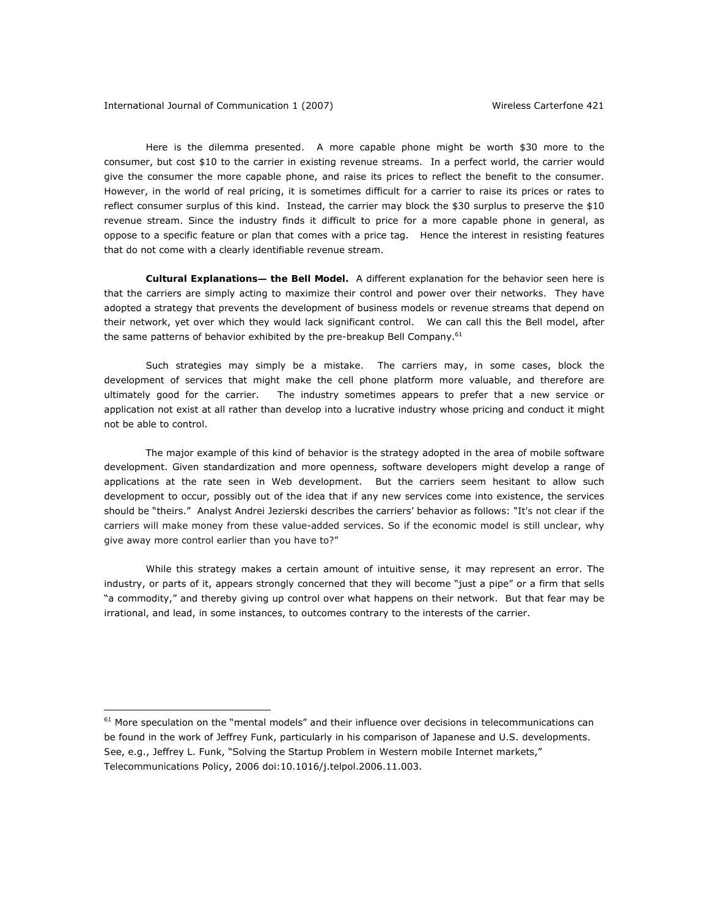Here is the dilemma presented. A more capable phone might be worth \$30 more to the consumer, but cost \$10 to the carrier in existing revenue streams. In a perfect world, the carrier would give the consumer the more capable phone, and raise its prices to reflect the benefit to the consumer. However, in the world of real pricing, it is sometimes difficult for a carrier to raise its prices or rates to reflect consumer surplus of this kind. Instead, the carrier may block the \$30 surplus to preserve the \$10 revenue stream. Since the industry finds it difficult to price for a more capable phone in general, as oppose to a specific feature or plan that comes with a price tag. Hence the interest in resisting features that do not come with a clearly identifiable revenue stream.

*Cultural Explanations— the Bell Model.* A different explanation for the behavior seen here is that the carriers are simply acting to maximize their control and power over their networks. They have adopted a strategy that prevents the development of business models or revenue streams that depend on their network, yet over which they would lack significant control. We can call this the Bell model, after the same patterns of behavior exhibited by the pre-breakup Bell Company. $61$ 

Such strategies may simply be a mistake. The carriers may, in some cases, block the development of services that might make the cell phone platform more valuable, and therefore are ultimately good for the carrier. The industry sometimes appears to prefer that a new service or application not exist at all rather than develop into a lucrative industry whose pricing and conduct it might not be able to control.

The major example of this kind of behavior is the strategy adopted in the area of mobile software development. Given standardization and more openness, software developers might develop a range of applications at the rate seen in Web development. But the carriers seem hesitant to allow such development to occur, possibly out of the idea that if any new services come into existence, the services should be "theirs." Analyst Andrei Jezierski describes the carriers' behavior as follows: "It's not clear if the carriers will make money from these value-added services. So if the economic model is still unclear, why give away more control earlier than you have to?"

While this strategy makes a certain amount of intuitive sense, it may represent an error. The industry, or parts of it, appears strongly concerned that they will become "just a pipe" or a firm that sells "a commodity," and thereby giving up control over what happens on their network. But that fear may be irrational, and lead, in some instances, to outcomes contrary to the interests of the carrier.

 $61$  More speculation on the "mental models" and their influence over decisions in telecommunications can be found in the work of Jeffrey Funk, particularly in his comparison of Japanese and U.S. developments. *See*, e.g., Jeffrey L. Funk, "Solving the Startup Problem in Western mobile Internet markets," *Telecommunications Policy*, 2006 doi:10.1016/j.telpol.2006.11.003.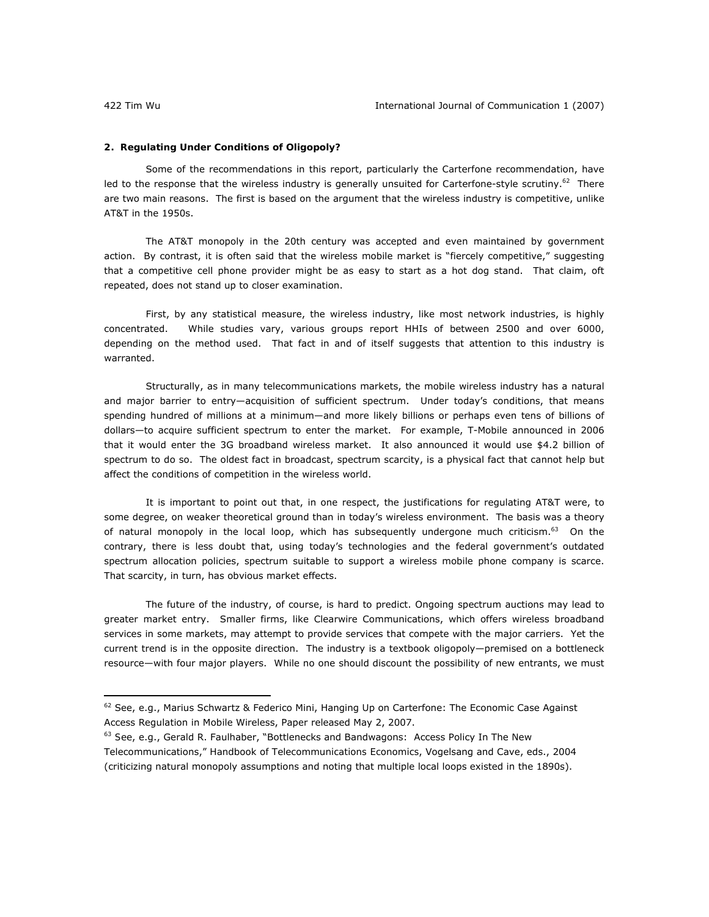# **2. Regulating Under Conditions of Oligopoly?**

Some of the recommendations in this report, particularly the *Carterfone* recommendation, have led to the response that the wireless industry is generally unsuited for *Carterfone*-style scrutiny.<sup>62</sup> There are two main reasons. The first is based on the argument that the wireless industry is competitive, unlike AT&T in the 1950s.

The AT&T monopoly in the 20th century was accepted and even maintained by government action. By contrast, it is often said that the wireless mobile market is "fiercely competitive," suggesting that a competitive cell phone provider might be as easy to start as a hot dog stand. That claim, oft repeated, does not stand up to closer examination.

First, by any statistical measure, the wireless industry, like most network industries, is highly concentrated. While studies vary, various groups report HHIs of between 2500 and over 6000, depending on the method used. That fact in and of itself suggests that attention to this industry is warranted.

Structurally, as in many telecommunications markets, the mobile wireless industry has a natural and major barrier to entry—acquisition of sufficient spectrum. Under today's conditions, that means spending hundred of millions at a minimum—and more likely billions or perhaps even tens of billions of dollars—to acquire sufficient spectrum to enter the market. For example, T-Mobile announced in 2006 that it would enter the 3G broadband wireless market. It also announced it would use \$4.2 billion of spectrum to do so. The oldest fact in broadcast, spectrum scarcity, is a physical fact that cannot help but affect the conditions of competition in the wireless world.

It is important to point out that, in one respect, the justifications for regulating AT&T were, to some degree, on weaker theoretical ground than in today's wireless environment. The basis was a theory of natural monopoly in the local loop, which has subsequently undergone much criticism.<sup>63</sup> On the contrary, there is less doubt that, using today's technologies and the federal government's outdated spectrum allocation policies, spectrum suitable to support a wireless mobile phone company is scarce. That scarcity, in turn, has obvious market effects.

The future of the industry, of course, is hard to predict. Ongoing spectrum auctions may lead to greater market entry. Smaller firms, like Clearwire Communications, which offers wireless broadband services in some markets, may attempt to provide services that compete with the major carriers. Yet the current trend is in the opposite direction. The industry is a textbook oligopoly—premised on a bottleneck resource—with four major players. While no one should discount the possibility of new entrants, we must

<sup>63</sup> *See*, e.g., Gerald R. Faulhaber, "Bottlenecks and Bandwagons: Access Policy In The New Telecommunications," *Handbook of Telecommunications Economics*, Vogelsang and Cave, eds., 2004 (criticizing natural monopoly assumptions and noting that multiple local loops existed in the 1890s).

 $62$  See, e.g., Marius Schwartz & Federico Mini, Hanging Up on Carterfone: The Economic Case Against Access Regulation in Mobile Wireless, Paper released May 2, 2007.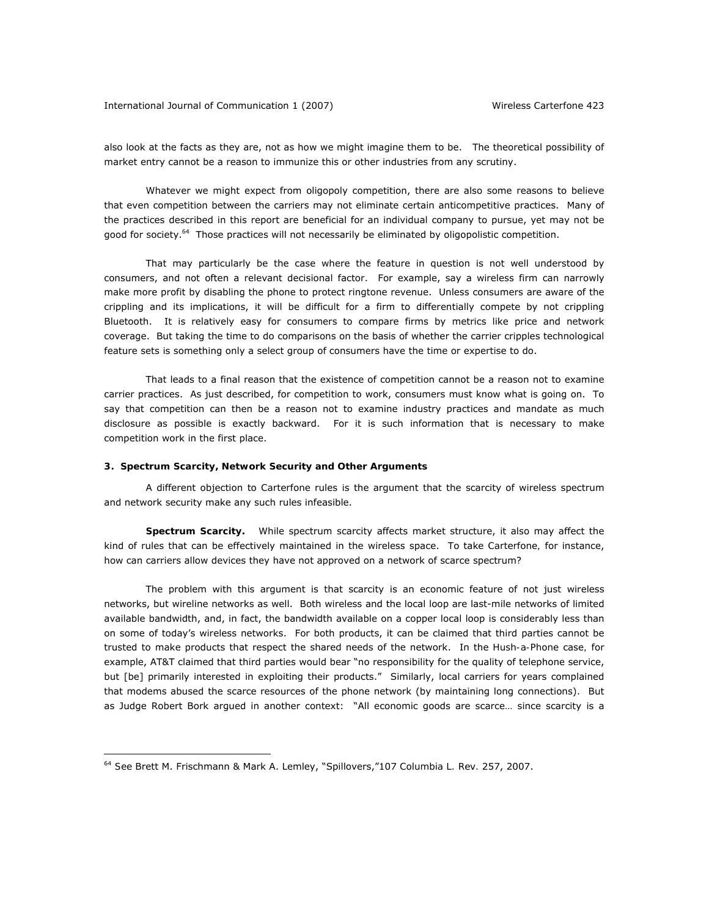also look at the facts as they are, not as how we might imagine them to be. The theoretical possibility of market entry cannot be a reason to immunize this or other industries from any scrutiny.

Whatever we might expect from oligopoly competition, there are also some reasons to believe that even competition between the carriers may not eliminate certain anticompetitive practices. Many of the practices described in this report are beneficial for an individual company to pursue, yet may not be good for society.<sup>64</sup> Those practices will not necessarily be eliminated by oligopolistic competition.

That may particularly be the case where the feature in question is not well understood by consumers, and not often a relevant decisional factor. For example, say a wireless firm can narrowly make more profit by disabling the phone to protect ringtone revenue. Unless consumers are aware of the crippling and its implications, it will be difficult for a firm to differentially compete by *not* crippling Bluetooth. It is relatively easy for consumers to compare firms by metrics like price and network coverage. But taking the time to do comparisons on the basis of whether the carrier cripples technological feature sets is something only a select group of consumers have the time or expertise to do.

That leads to a final reason that the existence of competition cannot be a reason not to examine carrier practices. As just described, for competition to work, consumers must know what is going on. To say that competition can then be a reason not to examine industry practices and mandate as much disclosure as possible is exactly backward. For it is such information that is necessary to make competition work in the first place.

## **3. Spectrum Scarcity, Network Security and Other Arguments**

A different objection to *Carterfone* rules is the argument that the scarcity of wireless spectrum and network security make any such rules infeasible.

**Spectrum Scarcity.** While spectrum scarcity affects market structure, it also may affect the kind of rules that can be effectively maintained in the wireless space. To take *Carterfone,* for instance, how can carriers allow devices they have not approved on a network of scarce spectrum?

The problem with this argument is that scarcity is an economic feature of not just wireless networks, but wireline networks as well. Both wireless and the local loop are last-mile networks of limited available bandwidth, and, in fact, the bandwidth available on a copper local loop is considerably less than on some of today's wireless networks. For both products, it can be claimed that third parties cannot be trusted to make products that respect the shared needs of the network. In the *Hush-a-Phone* case*,* for example, AT&T claimed that third parties would bear "no responsibility for the quality of telephone service, but [be] primarily interested in exploiting their products." Similarly, local carriers for years complained that modems abused the scarce resources of the phone network (by maintaining long connections). But as Judge Robert Bork argued in another context: "All economic goods are scarce… since scarcity is a

<sup>64</sup> *See* Brett M. Frischmann & Mark A. Lemley, "Spillovers,"107 *Columbia L. Rev.* 257, 2007.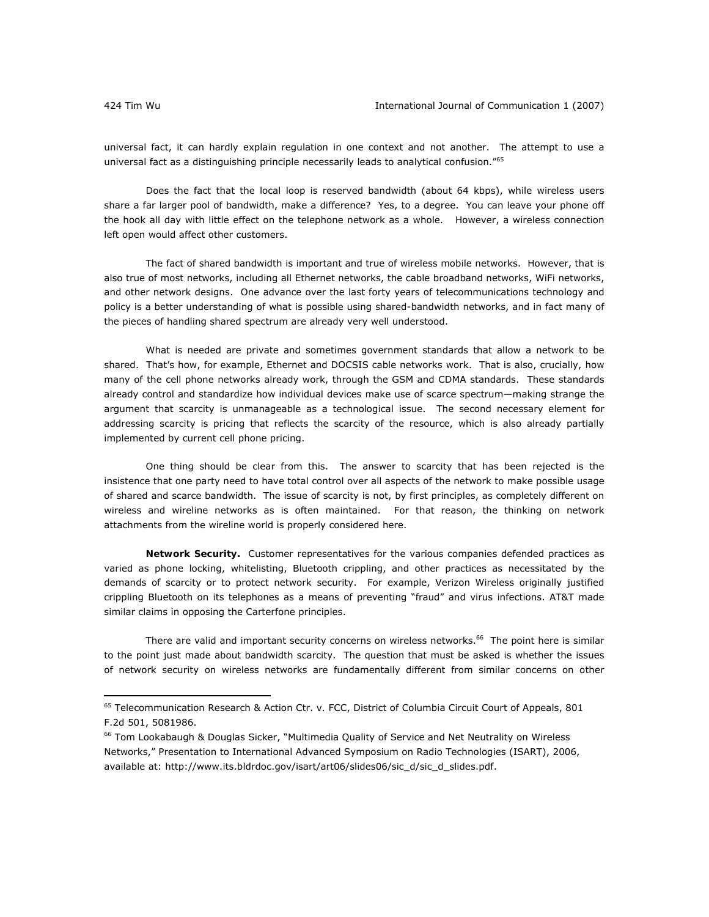universal fact, it can hardly explain regulation in one context and not another. The attempt to use a universal fact as a distinguishing principle necessarily leads to analytical confusion."<sup>65</sup>

Does the fact that the local loop is reserved bandwidth (about 64 kbps), while wireless users share a far larger pool of bandwidth, make a difference? Yes, to a degree. You can leave your phone off the hook all day with little effect on the telephone network as a whole. However, a wireless connection left open would affect other customers.

The fact of shared bandwidth is important and true of wireless mobile networks. However, that is also true of most networks, including all Ethernet networks, the cable broadband networks, WiFi networks, and other network designs. One advance over the last forty years of telecommunications technology and policy is a better understanding of what is possible using shared-bandwidth networks, and in fact many of the pieces of handling shared spectrum are already very well understood.

What is needed are private and sometimes government standards that allow a network to be shared. That's how, for example, Ethernet and DOCSIS cable networks work. That is also, crucially, how many of the cell phone networks *already* work, through the GSM and CDMA standards. These standards already control and standardize how individual devices make use of scarce spectrum—making strange the argument that scarcity is unmanageable as a technological issue. The second necessary element for addressing scarcity is pricing that reflects the scarcity of the resource, which is also already partially implemented by current cell phone pricing.

One thing should be clear from this. The answer to scarcity that has been rejected is the insistence that one party need to have total control over all aspects of the network to make possible usage of shared and scarce bandwidth. The issue of scarcity is not, by first principles, as completely different on wireless and wireline networks as is often maintained. For that reason, the thinking on network attachments from the wireline world is properly considered here.

*Network Security.* Customer representatives for the various companies defended practices as varied as phone locking, whitelisting, Bluetooth crippling, and other practices as necessitated by the demands of scarcity or to protect network security. For example, Verizon Wireless originally justified crippling Bluetooth on its telephones as a means of preventing "fraud" and virus infections. AT&T made similar claims in opposing the *Carterfone* principles.

There are valid and important security concerns on wireless networks.<sup>66</sup> The point here is similar to the point just made about bandwidth scarcity. The question that must be asked is whether the issues of network security on wireless networks are fundamentally different from similar concerns on other

<sup>65</sup> Telecommunication Research & Action Ctr. *v.* FCC, District of Columbia Circuit Court of Appeals, 801 F.2d 501, 5081986.

<sup>&</sup>lt;sup>66</sup> Tom Lookabaugh & Douglas Sicker, "Multimedia Quality of Service and Net Neutrality on Wireless Networks," Presentation to International Advanced Symposium on Radio Technologies (ISART), 2006, available at: http://www.its.bldrdoc.gov/isart/art06/slides06/sic\_d/sic\_d\_slides.pdf.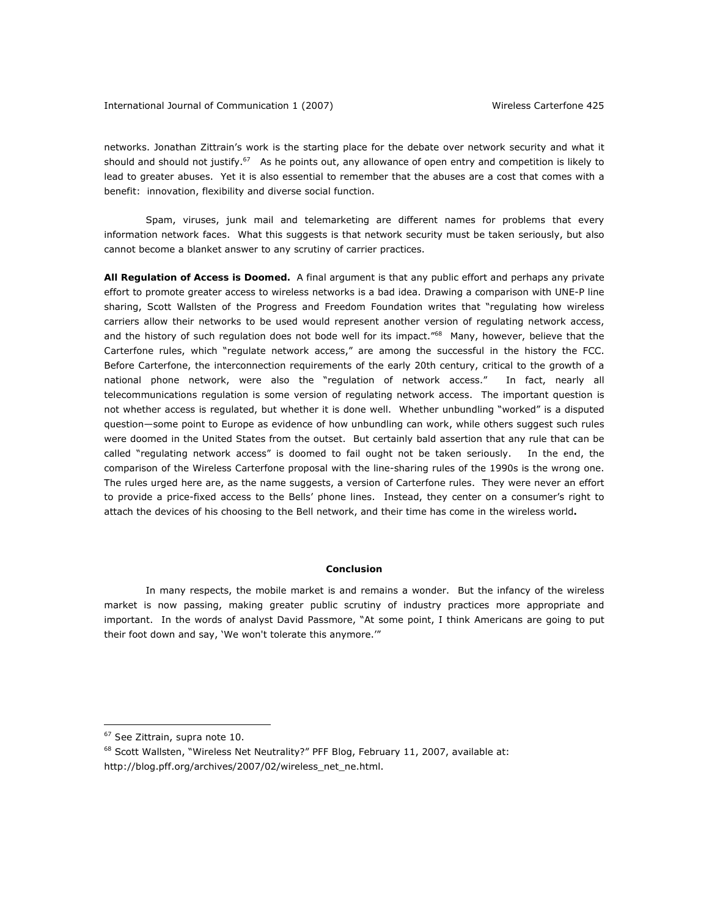networks. Jonathan Zittrain's work is the starting place for the debate over network security and what it should and should not justify.<sup>67</sup> As he points out, any allowance of open entry and competition is likely to lead to greater abuses. Yet it is also essential to remember that the abuses are a cost that comes with a benefit: innovation, flexibility and diverse social function.

Spam, viruses, junk mail and telemarketing are different names for problems that every information network faces. What this suggests is that network security must be taken seriously, but also cannot become a blanket answer to any scrutiny of carrier practices.

*All Regulation of Access is Doomed.* A final argument is that any public effort and perhaps any private effort to promote greater access to wireless networks is a bad idea. Drawing a comparison with UNE-P line sharing, Scott Wallsten of the Progress and Freedom Foundation writes that "regulating how wireless carriers allow their networks to be used would represent another version of regulating network access, and the history of such regulation does not bode well for its impact."<sup>68</sup> Many, however, believe that the *Carterfone* rules, which "regulate network access," are among the successful in the history the FCC. Before *Carterfone*, the interconnection requirements of the early 20th century, critical to the growth of a national phone network, were also the "regulation of network access." In fact, nearly all telecommunications regulation is some version of regulating network access. The important question is not whether access is regulated, but whether it is done well. Whether unbundling "worked" is a disputed question—some point to Europe as evidence of how unbundling can work, while others suggest such rules were doomed in the United States from the outset. But certainly bald assertion that any rule that can be called "regulating network access" is doomed to fail ought not be taken seriously. In the end, the comparison of the Wireless *Carterfone* proposal with the line-sharing rules of the 1990s is the wrong one. The rules urged here are, as the name suggests, a version of *Carterfone* rules. They were never an effort to provide a price-fixed access to the Bells' phone lines. Instead, they center on a consumer's right to attach the devices of his choosing to the Bell network, and their time has come in the wireless world**.** 

## **Conclusion**

In many respects, the mobile market is and remains a wonder. But the infancy of the wireless market is now passing, making greater public scrutiny of industry practices more appropriate and important. In the words of analyst David Passmore, "At some point, I think Americans are going to put their foot down and say, 'We won't tolerate this anymore.'"

<sup>67</sup> *See* Zittrain, *supra* note 10.

<sup>68</sup> Scott Wallsten, "Wireless Net Neutrality?" *PFF Blog*, February 11, 2007, available at: http://blog.pff.org/archives/2007/02/wireless\_net\_ne.html.